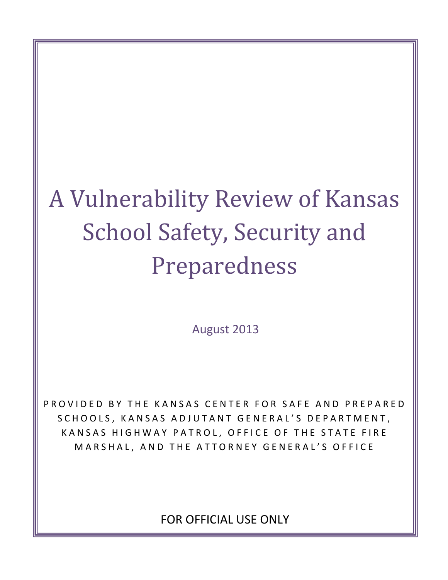# A Vulnerability Review of Kansas School Safety, Security and Preparedness

August 2013

PROVIDED BY THE KANSAS CENTER FOR SAFE AND PREPARED SCHOOLS, KANSAS ADJUTANT GENERAL'S DEPARTMENT, KANSAS HIGHWAY PATROL, OFFICE OF THE STATE FIRE MARSHAL, AND THE ATTORNEY GENERAL'S OFFICE

FOR OFFICIAL USE ONLY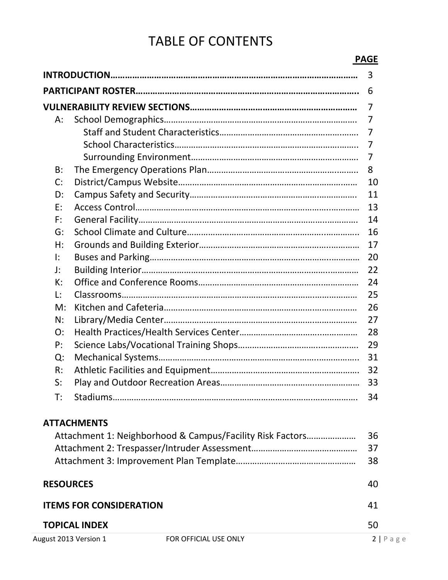# TABLE OF CONTENTS

|                  |                                                           | <b>PAGE</b> |
|------------------|-----------------------------------------------------------|-------------|
|                  |                                                           | 3           |
|                  |                                                           | 6           |
|                  |                                                           | 7           |
| $A$ :            |                                                           | 7           |
|                  |                                                           | 7           |
|                  |                                                           | 7           |
|                  |                                                           | 7           |
| B:               |                                                           | 8           |
| C:               |                                                           | 10          |
| D:               |                                                           | 11          |
| E:               |                                                           | 13          |
| F:               |                                                           | 14          |
| G:               |                                                           | 16          |
| H:               |                                                           | 17          |
| $\mathbf{E}$     |                                                           | 20          |
| J:               |                                                           | 22          |
| К:               |                                                           | 24          |
| $\mathsf{L}$ :   |                                                           | 25          |
| M:               |                                                           | 26          |
| N:               |                                                           | 27          |
| O:               |                                                           | 28          |
| P:               |                                                           | 29          |
| Q:               |                                                           | 31          |
| R:               |                                                           | 32          |
| S:               | Play and Outdoor Recreation Areas                         | 33          |
| T:               |                                                           | 34          |
|                  | <b>ATTACHMENTS</b>                                        |             |
|                  | Attachment 1: Neighborhood & Campus/Facility Risk Factors | 36          |
|                  |                                                           | 37          |
|                  |                                                           | 38          |
| <b>RESOURCES</b> |                                                           | 40          |
|                  |                                                           |             |

| <b>ITEMS FOR CONSIDERATION</b> |                       | 41         |
|--------------------------------|-----------------------|------------|
| <b>TOPICAL INDEX</b>           |                       | 50         |
| August 2013 Version 1          | FOR OFFICIAL USE ONLY | $2$   Page |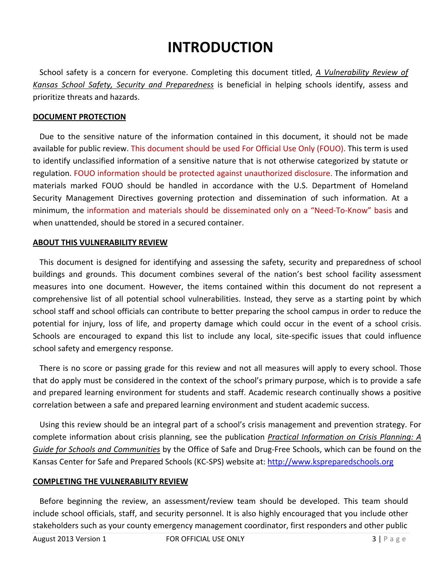# **INTRODUCTION**

School safety is a concern for everyone. Completing this document titled, *A Vulnerability Review of Kansas School Safety, Security and Preparedness* is beneficial in helping schools identify, assess and prioritize threats and hazards.

#### **DOCUMENT PROTECTION**

Due to the sensitive nature of the information contained in this document, it should not be made available for public review. This document should be used For Official Use Only (FOUO). This term is used to identify unclassified information of a sensitive nature that is not otherwise categorized by statute or regulation. FOUO information should be protected against unauthorized disclosure. The information and materials marked FOUO should be handled in accordance with the U.S. Department of Homeland Security Management Directives governing protection and dissemination of such information. At a minimum, the information and materials should be disseminated only on a "Need‐To‐Know" basis and when unattended, should be stored in a secured container.

#### **ABOUT THIS VULNERABILITY REVIEW**

This document is designed for identifying and assessing the safety, security and preparedness of school buildings and grounds. This document combines several of the nation's best school facility assessment measures into one document. However, the items contained within this document do not represent a comprehensive list of all potential school vulnerabilities. Instead, they serve as a starting point by which school staff and school officials can contribute to better preparing the school campus in order to reduce the potential for injury, loss of life, and property damage which could occur in the event of a school crisis. Schools are encouraged to expand this list to include any local, site‐specific issues that could influence school safety and emergency response.

There is no score or passing grade for this review and not all measures will apply to every school. Those that do apply must be considered in the context of the school's primary purpose, which is to provide a safe and prepared learning environment for students and staff. Academic research continually shows a positive correlation between a safe and prepared learning environment and student academic success.

Using this review should be an integral part of a school's crisis management and prevention strategy. For complete information about crisis planning, see the publication *Practical Information on Crisis Planning: A Guide for Schools and Communities* by the Office of Safe and Drug‐Free Schools, which can be found on the Kansas Center for Safe and Prepared Schools (KC-SPS) website at: http://www.kspreparedschools.org

#### **COMPLETING THE VULNERABILITY REVIEW**

Before beginning the review, an assessment/review team should be developed. This team should include school officials, staff, and security personnel. It is also highly encouraged that you include other stakeholders such as your county emergency management coordinator, first responders and other public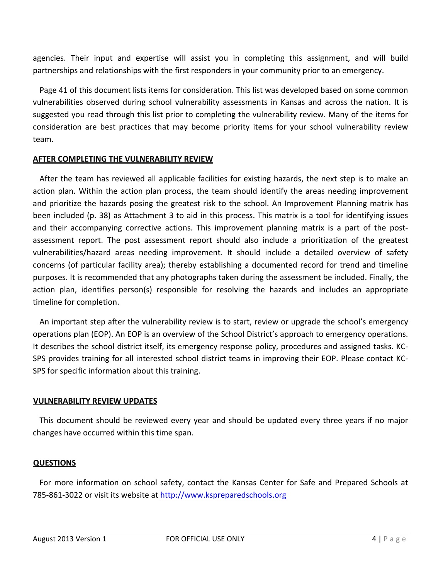agencies. Their input and expertise will assist you in completing this assignment, and will build partnerships and relationships with the first responders in your community prior to an emergency.

Page 41 of this document lists items for consideration. This list was developed based on some common vulnerabilities observed during school vulnerability assessments in Kansas and across the nation. It is suggested you read through this list prior to completing the vulnerability review. Many of the items for consideration are best practices that may become priority items for your school vulnerability review team.

#### **AFTER COMPLETING THE VULNERABILITY REVIEW**

After the team has reviewed all applicable facilities for existing hazards, the next step is to make an action plan. Within the action plan process, the team should identify the areas needing improvement and prioritize the hazards posing the greatest risk to the school. An Improvement Planning matrix has been included (p. 38) as Attachment 3 to aid in this process. This matrix is a tool for identifying issues and their accompanying corrective actions. This improvement planning matrix is a part of the postassessment report. The post assessment report should also include a prioritization of the greatest vulnerabilities/hazard areas needing improvement. It should include a detailed overview of safety concerns (of particular facility area); thereby establishing a documented record for trend and timeline purposes. It is recommended that any photographs taken during the assessment be included. Finally, the action plan, identifies person(s) responsible for resolving the hazards and includes an appropriate timeline for completion.

An important step after the vulnerability review is to start, review or upgrade the school's emergency operations plan (EOP). An EOP is an overview of the School District's approach to emergency operations. It describes the school district itself, its emergency response policy, procedures and assigned tasks. KC‐ SPS provides training for all interested school district teams in improving their EOP. Please contact KC‐ SPS for specific information about this training.

#### **VULNERABILITY REVIEW UPDATES**

This document should be reviewed every year and should be updated every three years if no major changes have occurred within this time span.

#### **QUESTIONS**

For more information on school safety, contact the Kansas Center for Safe and Prepared Schools at 785-861-3022 or visit its website at http://www.kspreparedschools.org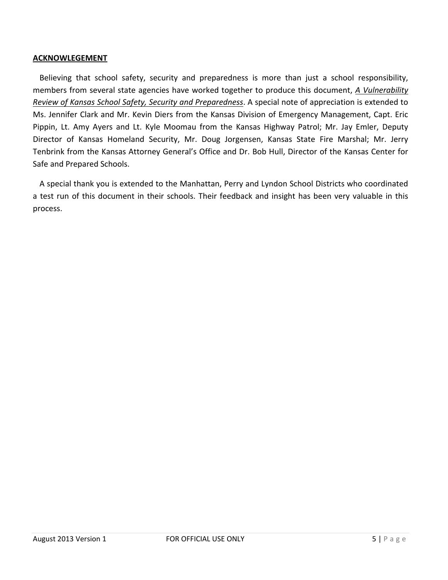#### **ACKNOWLEGEMENT**

Believing that school safety, security and preparedness is more than just a school responsibility, members from several state agencies have worked together to produce this document, *A Vulnerability Review of Kansas School Safety, Security and Preparedness*. A special note of appreciation is extended to Ms. Jennifer Clark and Mr. Kevin Diers from the Kansas Division of Emergency Management, Capt. Eric Pippin, Lt. Amy Ayers and Lt. Kyle Moomau from the Kansas Highway Patrol; Mr. Jay Emler, Deputy Director of Kansas Homeland Security, Mr. Doug Jorgensen, Kansas State Fire Marshal; Mr. Jerry Tenbrink from the Kansas Attorney General's Office and Dr. Bob Hull, Director of the Kansas Center for Safe and Prepared Schools.

A special thank you is extended to the Manhattan, Perry and Lyndon School Districts who coordinated a test run of this document in their schools. Their feedback and insight has been very valuable in this process.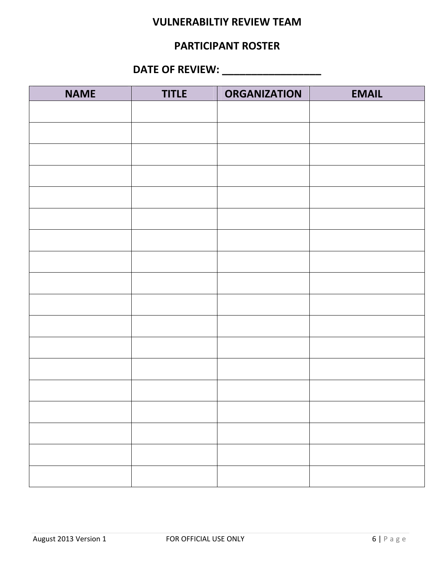#### **VULNERABILTIY REVIEW TEAM**

#### **PARTICIPANT ROSTER**

### **DATE OF REVIEW: \_\_\_\_\_\_\_\_\_\_\_\_\_\_\_\_\_**

| <b>NAME</b> | <b>TITLE</b> | <b>ORGANIZATION</b> | <b>EMAIL</b> |
|-------------|--------------|---------------------|--------------|
|             |              |                     |              |
|             |              |                     |              |
|             |              |                     |              |
|             |              |                     |              |
|             |              |                     |              |
|             |              |                     |              |
|             |              |                     |              |
|             |              |                     |              |
|             |              |                     |              |
|             |              |                     |              |
|             |              |                     |              |
|             |              |                     |              |
|             |              |                     |              |
|             |              |                     |              |
|             |              |                     |              |
|             |              |                     |              |
|             |              |                     |              |
|             |              |                     |              |
|             |              |                     |              |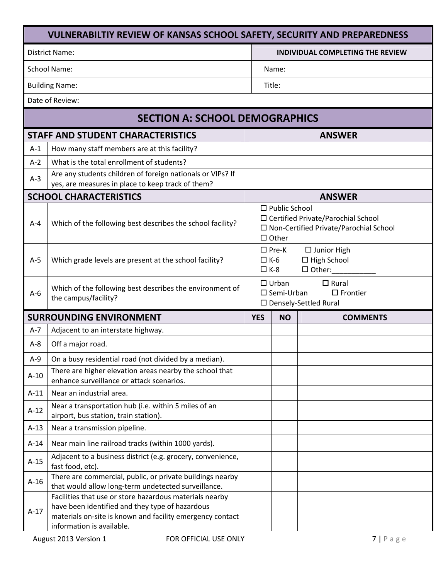|         | <b>VULNERABILTIY REVIEW OF KANSAS SCHOOL SAFETY, SECURITY AND PREPAREDNESS</b>                                                                                                                       |                          |                                      |                                                                                  |  |  |
|---------|------------------------------------------------------------------------------------------------------------------------------------------------------------------------------------------------------|--------------------------|--------------------------------------|----------------------------------------------------------------------------------|--|--|
|         | District Name:                                                                                                                                                                                       |                          |                                      | INDIVIDUAL COMPLETING THE REVIEW                                                 |  |  |
|         | <b>School Name:</b>                                                                                                                                                                                  |                          | Name:                                |                                                                                  |  |  |
|         | <b>Building Name:</b>                                                                                                                                                                                |                          | Title:                               |                                                                                  |  |  |
|         | Date of Review:                                                                                                                                                                                      |                          |                                      |                                                                                  |  |  |
|         | <b>SECTION A: SCHOOL DEMOGRAPHICS</b>                                                                                                                                                                |                          |                                      |                                                                                  |  |  |
|         | <b>STAFF AND STUDENT CHARACTERISTICS</b>                                                                                                                                                             |                          |                                      | <b>ANSWER</b>                                                                    |  |  |
| $A-1$   | How many staff members are at this facility?                                                                                                                                                         |                          |                                      |                                                                                  |  |  |
| $A-2$   | What is the total enrollment of students?                                                                                                                                                            |                          |                                      |                                                                                  |  |  |
| $A-3$   | Are any students children of foreign nationals or VIPs? If<br>yes, are measures in place to keep track of them?                                                                                      |                          |                                      |                                                                                  |  |  |
|         | <b>SCHOOL CHARACTERISTICS</b>                                                                                                                                                                        |                          |                                      | <b>ANSWER</b>                                                                    |  |  |
| $A - 4$ | Which of the following best describes the school facility?                                                                                                                                           |                          | $\Box$ Public School<br>$\Box$ Other | □ Certified Private/Parochial School<br>□ Non-Certified Private/Parochial School |  |  |
| $A-5$   | Which grade levels are present at the school facility?                                                                                                                                               | $\Box K-6$<br>$\Box$ K-8 | $\square$ Pre-K                      | $\square$ Junior High<br>$\Box$ High School<br>$\square$ Other:                  |  |  |
| $A-6$   | Which of the following best describes the environment of<br>the campus/facility?                                                                                                                     |                          | $\Box$ Urban<br>$\square$ Semi-Urban | $\Box$ Rural<br>$\Box$ Frontier<br>□ Densely-Settled Rural                       |  |  |
|         | <b>SURROUNDING ENVIRONMENT</b>                                                                                                                                                                       | <b>YES</b>               | <b>NO</b>                            | <b>COMMENTS</b>                                                                  |  |  |
| $A-7$   | Adjacent to an interstate highway.                                                                                                                                                                   |                          |                                      |                                                                                  |  |  |
| $A-8$   | Off a major road.                                                                                                                                                                                    |                          |                                      |                                                                                  |  |  |
| $A-9$   | On a busy residential road (not divided by a median).                                                                                                                                                |                          |                                      |                                                                                  |  |  |
| $A-10$  | There are higher elevation areas nearby the school that<br>enhance surveillance or attack scenarios.                                                                                                 |                          |                                      |                                                                                  |  |  |
| $A-11$  | Near an industrial area.                                                                                                                                                                             |                          |                                      |                                                                                  |  |  |
| $A-12$  | Near a transportation hub (i.e. within 5 miles of an<br>airport, bus station, train station).                                                                                                        |                          |                                      |                                                                                  |  |  |
| $A-13$  | Near a transmission pipeline.                                                                                                                                                                        |                          |                                      |                                                                                  |  |  |
| $A-14$  | Near main line railroad tracks (within 1000 yards).                                                                                                                                                  |                          |                                      |                                                                                  |  |  |
| $A-15$  | Adjacent to a business district (e.g. grocery, convenience,<br>fast food, etc).                                                                                                                      |                          |                                      |                                                                                  |  |  |
| $A-16$  | There are commercial, public, or private buildings nearby<br>that would allow long-term undetected surveillance.                                                                                     |                          |                                      |                                                                                  |  |  |
| $A-17$  | Facilities that use or store hazardous materials nearby<br>have been identified and they type of hazardous<br>materials on-site is known and facility emergency contact<br>information is available. |                          |                                      |                                                                                  |  |  |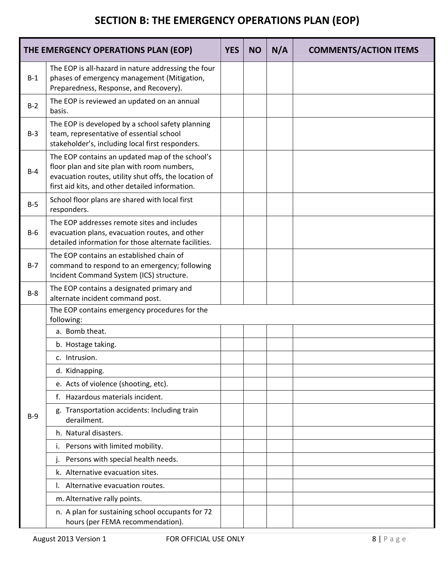# **SECTION B: THE EMERGENCY OPERATIONS PLAN (EOP)**

|       | THE EMERGENCY OPERATIONS PLAN (EOP)                                                                                                                                                                        | <b>YES</b> | <b>NO</b> | N/A | <b>COMMENTS/ACTION ITEMS</b> |
|-------|------------------------------------------------------------------------------------------------------------------------------------------------------------------------------------------------------------|------------|-----------|-----|------------------------------|
| $B-1$ | The EOP is all-hazard in nature addressing the four<br>phases of emergency management (Mitigation,<br>Preparedness, Response, and Recovery).                                                               |            |           |     |                              |
| $B-2$ | The EOP is reviewed an updated on an annual<br>basis.                                                                                                                                                      |            |           |     |                              |
| $B-3$ | The EOP is developed by a school safety planning<br>team, representative of essential school<br>stakeholder's, including local first responders.                                                           |            |           |     |                              |
| $B-4$ | The EOP contains an updated map of the school's<br>floor plan and site plan with room numbers,<br>evacuation routes, utility shut offs, the location of<br>first aid kits, and other detailed information. |            |           |     |                              |
| $B-5$ | School floor plans are shared with local first<br>responders.                                                                                                                                              |            |           |     |                              |
| $B-6$ | The EOP addresses remote sites and includes<br>evacuation plans, evacuation routes, and other<br>detailed information for those alternate facilities.                                                      |            |           |     |                              |
| $B-7$ | The EOP contains an established chain of<br>command to respond to an emergency; following<br>Incident Command System (ICS) structure.                                                                      |            |           |     |                              |
| $B-8$ | The EOP contains a designated primary and<br>alternate incident command post.                                                                                                                              |            |           |     |                              |
|       | The EOP contains emergency procedures for the<br>following:                                                                                                                                                |            |           |     |                              |
|       | a. Bomb theat.                                                                                                                                                                                             |            |           |     |                              |
|       | b. Hostage taking.                                                                                                                                                                                         |            |           |     |                              |
|       | c. Intrusion.                                                                                                                                                                                              |            |           |     |                              |
|       | d. Kidnapping.                                                                                                                                                                                             |            |           |     |                              |
|       | e. Acts of violence (shooting, etc).                                                                                                                                                                       |            |           |     |                              |
|       | f. Hazardous materials incident.                                                                                                                                                                           |            |           |     |                              |
| $B-9$ | g. Transportation accidents: Including train<br>derailment.                                                                                                                                                |            |           |     |                              |
|       | h. Natural disasters.                                                                                                                                                                                      |            |           |     |                              |
|       | Persons with limited mobility.<br>Ι.                                                                                                                                                                       |            |           |     |                              |
|       | Persons with special health needs.                                                                                                                                                                         |            |           |     |                              |
|       | k. Alternative evacuation sites.                                                                                                                                                                           |            |           |     |                              |
|       | Alternative evacuation routes.                                                                                                                                                                             |            |           |     |                              |
|       | m. Alternative rally points.                                                                                                                                                                               |            |           |     |                              |
|       | n. A plan for sustaining school occupants for 72<br>hours (per FEMA recommendation).                                                                                                                       |            |           |     |                              |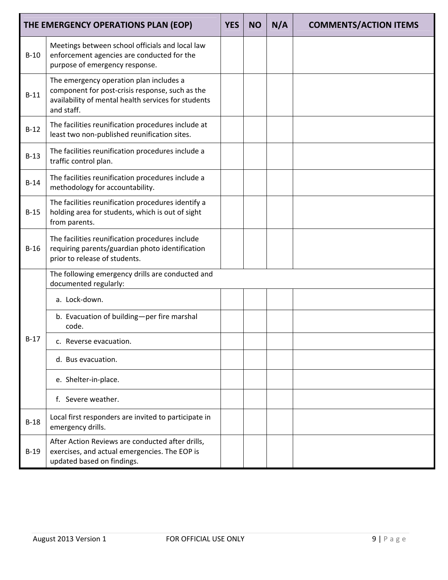|        | THE EMERGENCY OPERATIONS PLAN (EOP)                                                                                                                             | <b>YES</b> | <b>NO</b> | N/A | <b>COMMENTS/ACTION ITEMS</b> |
|--------|-----------------------------------------------------------------------------------------------------------------------------------------------------------------|------------|-----------|-----|------------------------------|
| $B-10$ | Meetings between school officials and local law<br>enforcement agencies are conducted for the<br>purpose of emergency response.                                 |            |           |     |                              |
| $B-11$ | The emergency operation plan includes a<br>component for post-crisis response, such as the<br>availability of mental health services for students<br>and staff. |            |           |     |                              |
| $B-12$ | The facilities reunification procedures include at<br>least two non-published reunification sites.                                                              |            |           |     |                              |
| $B-13$ | The facilities reunification procedures include a<br>traffic control plan.                                                                                      |            |           |     |                              |
| $B-14$ | The facilities reunification procedures include a<br>methodology for accountability.                                                                            |            |           |     |                              |
| $B-15$ | The facilities reunification procedures identify a<br>holding area for students, which is out of sight<br>from parents.                                         |            |           |     |                              |
| $B-16$ | The facilities reunification procedures include<br>requiring parents/guardian photo identification<br>prior to release of students.                             |            |           |     |                              |
|        | The following emergency drills are conducted and<br>documented regularly:                                                                                       |            |           |     |                              |
|        | a. Lock-down.                                                                                                                                                   |            |           |     |                              |
|        | b. Evacuation of building-per fire marshal<br>code.                                                                                                             |            |           |     |                              |
| $B-17$ | c. Reverse evacuation.                                                                                                                                          |            |           |     |                              |
|        | d. Bus evacuation.                                                                                                                                              |            |           |     |                              |
|        | e. Shelter-in-place.                                                                                                                                            |            |           |     |                              |
|        | f. Severe weather.                                                                                                                                              |            |           |     |                              |
| $B-18$ | Local first responders are invited to participate in<br>emergency drills.                                                                                       |            |           |     |                              |
| $B-19$ | After Action Reviews are conducted after drills,<br>exercises, and actual emergencies. The EOP is<br>updated based on findings.                                 |            |           |     |                              |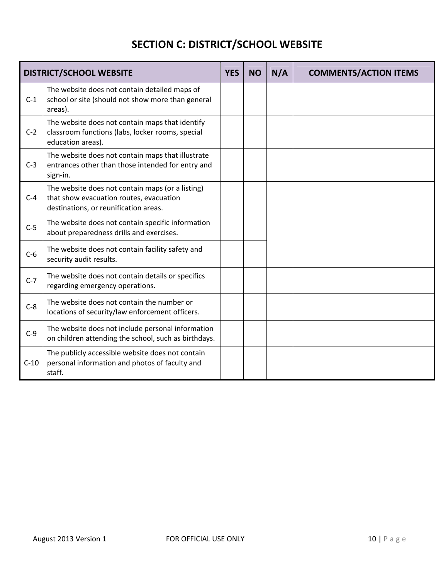# **SECTION C: DISTRICT/SCHOOL WEBSITE**

|        | <b>DISTRICT/SCHOOL WEBSITE</b>                                                                                                       | <b>YES</b> | <b>NO</b> | N/A | <b>COMMENTS/ACTION ITEMS</b> |
|--------|--------------------------------------------------------------------------------------------------------------------------------------|------------|-----------|-----|------------------------------|
| $C-1$  | The website does not contain detailed maps of<br>school or site (should not show more than general<br>areas).                        |            |           |     |                              |
| $C-2$  | The website does not contain maps that identify<br>classroom functions (labs, locker rooms, special<br>education areas).             |            |           |     |                              |
| $C-3$  | The website does not contain maps that illustrate<br>entrances other than those intended for entry and<br>sign-in.                   |            |           |     |                              |
| $C-4$  | The website does not contain maps (or a listing)<br>that show evacuation routes, evacuation<br>destinations, or reunification areas. |            |           |     |                              |
| $C-5$  | The website does not contain specific information<br>about preparedness drills and exercises.                                        |            |           |     |                              |
| $C-6$  | The website does not contain facility safety and<br>security audit results.                                                          |            |           |     |                              |
| $C-7$  | The website does not contain details or specifics<br>regarding emergency operations.                                                 |            |           |     |                              |
| $C-8$  | The website does not contain the number or<br>locations of security/law enforcement officers.                                        |            |           |     |                              |
| $C-9$  | The website does not include personal information<br>on children attending the school, such as birthdays.                            |            |           |     |                              |
| $C-10$ | The publicly accessible website does not contain<br>personal information and photos of faculty and<br>staff.                         |            |           |     |                              |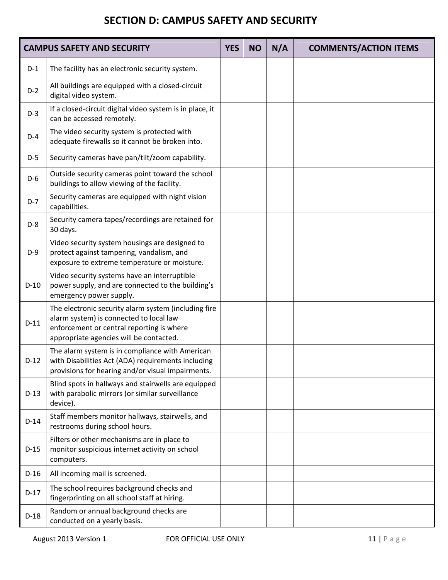#### **SECTION D: CAMPUS SAFETY AND SECURITY**

|        | <b>CAMPUS SAFETY AND SECURITY</b>                                                                                                                                                       | <b>YES</b> | <b>NO</b> | N/A | <b>COMMENTS/ACTION ITEMS</b> |
|--------|-----------------------------------------------------------------------------------------------------------------------------------------------------------------------------------------|------------|-----------|-----|------------------------------|
| $D-1$  | The facility has an electronic security system.                                                                                                                                         |            |           |     |                              |
| $D-2$  | All buildings are equipped with a closed-circuit<br>digital video system.                                                                                                               |            |           |     |                              |
| $D-3$  | If a closed-circuit digital video system is in place, it<br>can be accessed remotely.                                                                                                   |            |           |     |                              |
| $D-4$  | The video security system is protected with<br>adequate firewalls so it cannot be broken into.                                                                                          |            |           |     |                              |
| $D-5$  | Security cameras have pan/tilt/zoom capability.                                                                                                                                         |            |           |     |                              |
| $D-6$  | Outside security cameras point toward the school<br>buildings to allow viewing of the facility.                                                                                         |            |           |     |                              |
| $D-7$  | Security cameras are equipped with night vision<br>capabilities.                                                                                                                        |            |           |     |                              |
| $D-8$  | Security camera tapes/recordings are retained for<br>30 days.                                                                                                                           |            |           |     |                              |
| $D-9$  | Video security system housings are designed to<br>protect against tampering, vandalism, and<br>exposure to extreme temperature or moisture.                                             |            |           |     |                              |
| $D-10$ | Video security systems have an interruptible<br>power supply, and are connected to the building's<br>emergency power supply.                                                            |            |           |     |                              |
| $D-11$ | The electronic security alarm system (including fire<br>alarm system) is connected to local law<br>enforcement or central reporting is where<br>appropriate agencies will be contacted. |            |           |     |                              |
| $D-12$ | The alarm system is in compliance with American<br>with Disabilities Act (ADA) requirements including<br>provisions for hearing and/or visual impairments.                              |            |           |     |                              |
| $D-13$ | Blind spots in hallways and stairwells are equipped<br>with parabolic mirrors (or similar surveillance<br>device).                                                                      |            |           |     |                              |
| $D-14$ | Staff members monitor hallways, stairwells, and<br>restrooms during school hours.                                                                                                       |            |           |     |                              |
| $D-15$ | Filters or other mechanisms are in place to<br>monitor suspicious internet activity on school<br>computers.                                                                             |            |           |     |                              |
| $D-16$ | All incoming mail is screened.                                                                                                                                                          |            |           |     |                              |
| $D-17$ | The school requires background checks and<br>fingerprinting on all school staff at hiring.                                                                                              |            |           |     |                              |
| $D-18$ | Random or annual background checks are<br>conducted on a yearly basis.                                                                                                                  |            |           |     |                              |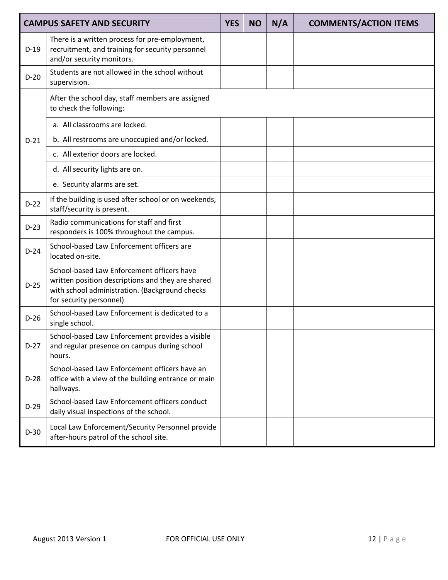|        | <b>CAMPUS SAFETY AND SECURITY</b>                                                                                                                                            | <b>YES</b> | <b>NO</b> | N/A | <b>COMMENTS/ACTION ITEMS</b> |
|--------|------------------------------------------------------------------------------------------------------------------------------------------------------------------------------|------------|-----------|-----|------------------------------|
| $D-19$ | There is a written process for pre-employment,<br>recruitment, and training for security personnel<br>and/or security monitors.                                              |            |           |     |                              |
| $D-20$ | Students are not allowed in the school without<br>supervision.                                                                                                               |            |           |     |                              |
|        | After the school day, staff members are assigned<br>to check the following:                                                                                                  |            |           |     |                              |
|        | a. All classrooms are locked.                                                                                                                                                |            |           |     |                              |
| $D-21$ | b. All restrooms are unoccupied and/or locked.                                                                                                                               |            |           |     |                              |
|        | c. All exterior doors are locked.                                                                                                                                            |            |           |     |                              |
|        | d. All security lights are on.                                                                                                                                               |            |           |     |                              |
|        | e. Security alarms are set.                                                                                                                                                  |            |           |     |                              |
| $D-22$ | If the building is used after school or on weekends,<br>staff/security is present.                                                                                           |            |           |     |                              |
| $D-23$ | Radio communications for staff and first<br>responders is 100% throughout the campus.                                                                                        |            |           |     |                              |
| $D-24$ | School-based Law Enforcement officers are<br>located on-site.                                                                                                                |            |           |     |                              |
| $D-25$ | School-based Law Enforcement officers have<br>written position descriptions and they are shared<br>with school administration. (Background checks<br>for security personnel) |            |           |     |                              |
| $D-26$ | School-based Law Enforcement is dedicated to a<br>single school.                                                                                                             |            |           |     |                              |
| $D-27$ | School-based Law Enforcement provides a visible<br>and regular presence on campus during school<br>hours.                                                                    |            |           |     |                              |
| $D-28$ | School-based Law Enforcement officers have an<br>office with a view of the building entrance or main<br>hallways.                                                            |            |           |     |                              |
| $D-29$ | School-based Law Enforcement officers conduct<br>daily visual inspections of the school.                                                                                     |            |           |     |                              |
| $D-30$ | Local Law Enforcement/Security Personnel provide<br>after-hours patrol of the school site.                                                                                   |            |           |     |                              |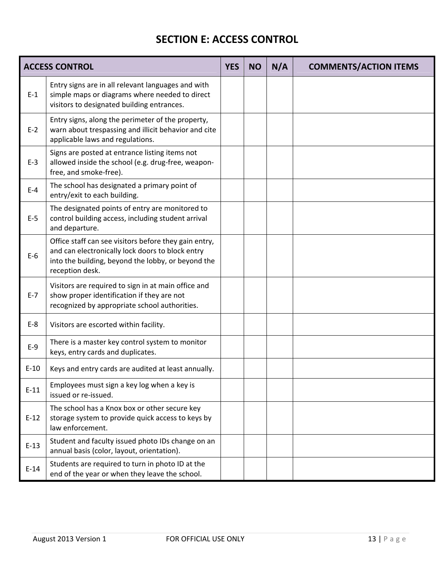#### **SECTION E: ACCESS CONTROL**

|        | <b>ACCESS CONTROL</b>                                                                                                                                                              | <b>YES</b> | <b>NO</b> | N/A | <b>COMMENTS/ACTION ITEMS</b> |
|--------|------------------------------------------------------------------------------------------------------------------------------------------------------------------------------------|------------|-----------|-----|------------------------------|
| $E-1$  | Entry signs are in all relevant languages and with<br>simple maps or diagrams where needed to direct<br>visitors to designated building entrances.                                 |            |           |     |                              |
| $E-2$  | Entry signs, along the perimeter of the property,<br>warn about trespassing and illicit behavior and cite<br>applicable laws and regulations.                                      |            |           |     |                              |
| $E-3$  | Signs are posted at entrance listing items not<br>allowed inside the school (e.g. drug-free, weapon-<br>free, and smoke-free).                                                     |            |           |     |                              |
| $E-4$  | The school has designated a primary point of<br>entry/exit to each building.                                                                                                       |            |           |     |                              |
| $E-5$  | The designated points of entry are monitored to<br>control building access, including student arrival<br>and departure.                                                            |            |           |     |                              |
| $E-6$  | Office staff can see visitors before they gain entry,<br>and can electronically lock doors to block entry<br>into the building, beyond the lobby, or beyond the<br>reception desk. |            |           |     |                              |
| $E-7$  | Visitors are required to sign in at main office and<br>show proper identification if they are not<br>recognized by appropriate school authorities.                                 |            |           |     |                              |
| $E-8$  | Visitors are escorted within facility.                                                                                                                                             |            |           |     |                              |
| $E-9$  | There is a master key control system to monitor<br>keys, entry cards and duplicates.                                                                                               |            |           |     |                              |
| $E-10$ | Keys and entry cards are audited at least annually.                                                                                                                                |            |           |     |                              |
| $E-11$ | Employees must sign a key log when a key is<br>issued or re-issued.                                                                                                                |            |           |     |                              |
| $E-12$ | The school has a Knox box or other secure key<br>storage system to provide quick access to keys by<br>law enforcement.                                                             |            |           |     |                              |
| $E-13$ | Student and faculty issued photo IDs change on an<br>annual basis (color, layout, orientation).                                                                                    |            |           |     |                              |
| $E-14$ | Students are required to turn in photo ID at the<br>end of the year or when they leave the school.                                                                                 |            |           |     |                              |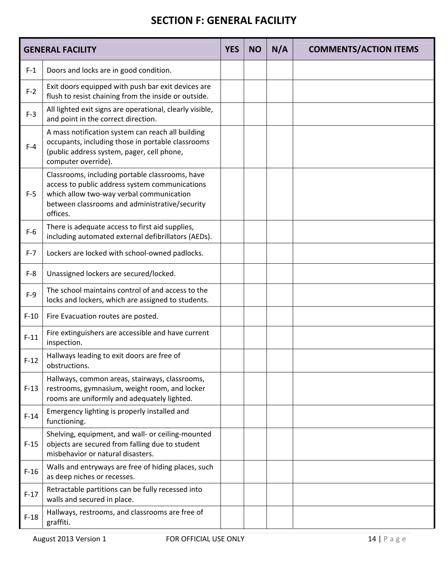#### **SECTION F: GENERAL FACILITY**

|         | <b>GENERAL FACILITY</b>                                                                                                                                                                                     | <b>YES</b> | <b>NO</b> | N/A | <b>COMMENTS/ACTION ITEMS</b> |
|---------|-------------------------------------------------------------------------------------------------------------------------------------------------------------------------------------------------------------|------------|-----------|-----|------------------------------|
| $F-1$   | Doors and locks are in good condition.                                                                                                                                                                      |            |           |     |                              |
| $F-2$   | Exit doors equipped with push bar exit devices are<br>flush to resist chaining from the inside or outside.                                                                                                  |            |           |     |                              |
| $F-3$   | All lighted exit signs are operational, clearly visible,<br>and point in the correct direction.                                                                                                             |            |           |     |                              |
| $F-4$   | A mass notification system can reach all building<br>occupants, including those in portable classrooms<br>(public address system, pager, cell phone,<br>computer override).                                 |            |           |     |                              |
| $F-5$   | Classrooms, including portable classrooms, have<br>access to public address system communications<br>which allow two-way verbal communication<br>between classrooms and administrative/security<br>offices. |            |           |     |                              |
| $F-6$   | There is adequate access to first aid supplies,<br>including automated external defibrillators (AEDs).                                                                                                      |            |           |     |                              |
| $F - 7$ | Lockers are locked with school-owned padlocks.                                                                                                                                                              |            |           |     |                              |
| $F-8$   | Unassigned lockers are secured/locked.                                                                                                                                                                      |            |           |     |                              |
| $F-9$   | The school maintains control of and access to the<br>locks and lockers, which are assigned to students.                                                                                                     |            |           |     |                              |
| $F-10$  | Fire Evacuation routes are posted.                                                                                                                                                                          |            |           |     |                              |
| $F-11$  | Fire extinguishers are accessible and have current<br>inspection.                                                                                                                                           |            |           |     |                              |
| $F-12$  | Hallways leading to exit doors are free of<br>obstructions.                                                                                                                                                 |            |           |     |                              |
| $F-13$  | Hallways, common areas, stairways, classrooms,<br>restrooms, gymnasium, weight room, and locker<br>rooms are uniformly and adequately lighted.                                                              |            |           |     |                              |
| $F-14$  | Emergency lighting is properly installed and<br>functioning.                                                                                                                                                |            |           |     |                              |
| $F-15$  | Shelving, equipment, and wall- or ceiling-mounted<br>objects are secured from falling due to student<br>misbehavior or natural disasters.                                                                   |            |           |     |                              |
| $F-16$  | Walls and entryways are free of hiding places, such<br>as deep niches or recesses.                                                                                                                          |            |           |     |                              |
| $F-17$  | Retractable partitions can be fully recessed into<br>walls and secured in place.                                                                                                                            |            |           |     |                              |
| $F-18$  | Hallways, restrooms, and classrooms are free of<br>graffiti.                                                                                                                                                |            |           |     |                              |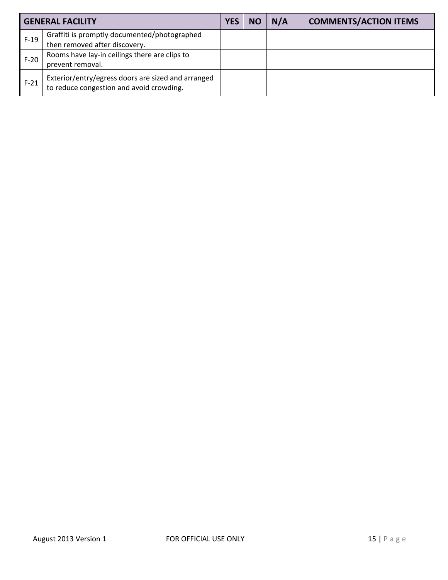|        | <b>GENERAL FACILITY</b>                                                                        | <b>YES</b> | <b>NO</b> | N/A | <b>COMMENTS/ACTION ITEMS</b> |
|--------|------------------------------------------------------------------------------------------------|------------|-----------|-----|------------------------------|
| $F-19$ | Graffiti is promptly documented/photographed                                                   |            |           |     |                              |
|        | then removed after discovery.                                                                  |            |           |     |                              |
| $F-20$ | Rooms have lay-in ceilings there are clips to                                                  |            |           |     |                              |
|        | prevent removal.                                                                               |            |           |     |                              |
| $F-21$ | Exterior/entry/egress doors are sized and arranged<br>to reduce congestion and avoid crowding. |            |           |     |                              |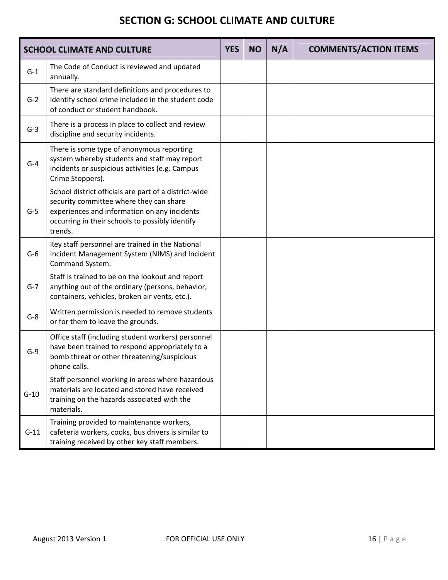#### **SECTION G: SCHOOL CLIMATE AND CULTURE**

|        | <b>SCHOOL CLIMATE AND CULTURE</b>                                                                                                                                                                              | <b>YES</b> | <b>NO</b> | N/A | <b>COMMENTS/ACTION ITEMS</b> |
|--------|----------------------------------------------------------------------------------------------------------------------------------------------------------------------------------------------------------------|------------|-----------|-----|------------------------------|
| $G-1$  | The Code of Conduct is reviewed and updated<br>annually.                                                                                                                                                       |            |           |     |                              |
| $G-2$  | There are standard definitions and procedures to<br>identify school crime included in the student code<br>of conduct or student handbook.                                                                      |            |           |     |                              |
| $G-3$  | There is a process in place to collect and review<br>discipline and security incidents.                                                                                                                        |            |           |     |                              |
| $G-4$  | There is some type of anonymous reporting<br>system whereby students and staff may report<br>incidents or suspicious activities (e.g. Campus<br>Crime Stoppers).                                               |            |           |     |                              |
| $G-5$  | School district officials are part of a district-wide<br>security committee where they can share<br>experiences and information on any incidents<br>occurring in their schools to possibly identify<br>trends. |            |           |     |                              |
| $G-6$  | Key staff personnel are trained in the National<br>Incident Management System (NIMS) and Incident<br>Command System.                                                                                           |            |           |     |                              |
| $G-7$  | Staff is trained to be on the lookout and report<br>anything out of the ordinary (persons, behavior,<br>containers, vehicles, broken air vents, etc.).                                                         |            |           |     |                              |
| $G-8$  | Written permission is needed to remove students<br>or for them to leave the grounds.                                                                                                                           |            |           |     |                              |
| $G-9$  | Office staff (including student workers) personnel<br>have been trained to respond appropriately to a<br>bomb threat or other threatening/suspicious<br>phone calls.                                           |            |           |     |                              |
| $G-10$ | Staff personnel working in areas where hazardous<br>materials are located and stored have received<br>training on the hazards associated with the<br>materials.                                                |            |           |     |                              |
| $G-11$ | Training provided to maintenance workers,<br>cafeteria workers, cooks, bus drivers is similar to<br>training received by other key staff members.                                                              |            |           |     |                              |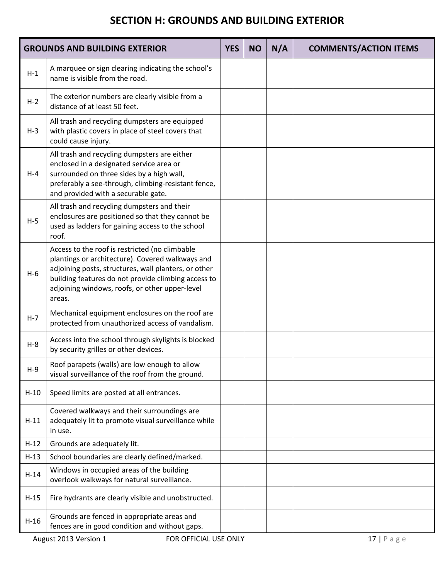#### **SECTION H: GROUNDS AND BUILDING EXTERIOR**

|         | <b>GROUNDS AND BUILDING EXTERIOR</b>                                                                                                                                                                                                                                          | <b>YES</b> | <b>NO</b> | N/A | <b>COMMENTS/ACTION ITEMS</b> |
|---------|-------------------------------------------------------------------------------------------------------------------------------------------------------------------------------------------------------------------------------------------------------------------------------|------------|-----------|-----|------------------------------|
| $H-1$   | A marquee or sign clearing indicating the school's<br>name is visible from the road.                                                                                                                                                                                          |            |           |     |                              |
| $H-2$   | The exterior numbers are clearly visible from a<br>distance of at least 50 feet.                                                                                                                                                                                              |            |           |     |                              |
| $H-3$   | All trash and recycling dumpsters are equipped<br>with plastic covers in place of steel covers that<br>could cause injury.                                                                                                                                                    |            |           |     |                              |
| $H - 4$ | All trash and recycling dumpsters are either<br>enclosed in a designated service area or<br>surrounded on three sides by a high wall,<br>preferably a see-through, climbing-resistant fence,<br>and provided with a securable gate.                                           |            |           |     |                              |
| $H-5$   | All trash and recycling dumpsters and their<br>enclosures are positioned so that they cannot be<br>used as ladders for gaining access to the school<br>roof.                                                                                                                  |            |           |     |                              |
| $H-6$   | Access to the roof is restricted (no climbable<br>plantings or architecture). Covered walkways and<br>adjoining posts, structures, wall planters, or other<br>building features do not provide climbing access to<br>adjoining windows, roofs, or other upper-level<br>areas. |            |           |     |                              |
| $H - 7$ | Mechanical equipment enclosures on the roof are<br>protected from unauthorized access of vandalism.                                                                                                                                                                           |            |           |     |                              |
| $H-8$   | Access into the school through skylights is blocked<br>by security grilles or other devices.                                                                                                                                                                                  |            |           |     |                              |
| $H-9$   | Roof parapets (walls) are low enough to allow<br>visual surveillance of the roof from the ground.                                                                                                                                                                             |            |           |     |                              |
| $H-10$  | Speed limits are posted at all entrances.                                                                                                                                                                                                                                     |            |           |     |                              |
| $H-11$  | Covered walkways and their surroundings are<br>adequately lit to promote visual surveillance while<br>in use.                                                                                                                                                                 |            |           |     |                              |
| $H-12$  | Grounds are adequately lit.                                                                                                                                                                                                                                                   |            |           |     |                              |
| $H-13$  | School boundaries are clearly defined/marked.                                                                                                                                                                                                                                 |            |           |     |                              |
| $H-14$  | Windows in occupied areas of the building<br>overlook walkways for natural surveillance.                                                                                                                                                                                      |            |           |     |                              |
| $H-15$  | Fire hydrants are clearly visible and unobstructed.                                                                                                                                                                                                                           |            |           |     |                              |
| $H-16$  | Grounds are fenced in appropriate areas and<br>fences are in good condition and without gaps.                                                                                                                                                                                 |            |           |     |                              |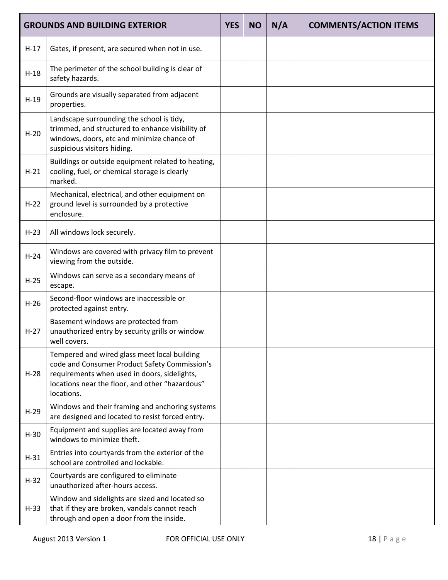|        | <b>GROUNDS AND BUILDING EXTERIOR</b>                                                                                                                                                                           | <b>YES</b> | <b>NO</b> | N/A | <b>COMMENTS/ACTION ITEMS</b> |
|--------|----------------------------------------------------------------------------------------------------------------------------------------------------------------------------------------------------------------|------------|-----------|-----|------------------------------|
| $H-17$ | Gates, if present, are secured when not in use.                                                                                                                                                                |            |           |     |                              |
| $H-18$ | The perimeter of the school building is clear of<br>safety hazards.                                                                                                                                            |            |           |     |                              |
| $H-19$ | Grounds are visually separated from adjacent<br>properties.                                                                                                                                                    |            |           |     |                              |
| $H-20$ | Landscape surrounding the school is tidy,<br>trimmed, and structured to enhance visibility of<br>windows, doors, etc and minimize chance of<br>suspicious visitors hiding.                                     |            |           |     |                              |
| $H-21$ | Buildings or outside equipment related to heating,<br>cooling, fuel, or chemical storage is clearly<br>marked.                                                                                                 |            |           |     |                              |
| $H-22$ | Mechanical, electrical, and other equipment on<br>ground level is surrounded by a protective<br>enclosure.                                                                                                     |            |           |     |                              |
| $H-23$ | All windows lock securely.                                                                                                                                                                                     |            |           |     |                              |
| $H-24$ | Windows are covered with privacy film to prevent<br>viewing from the outside.                                                                                                                                  |            |           |     |                              |
| $H-25$ | Windows can serve as a secondary means of<br>escape.                                                                                                                                                           |            |           |     |                              |
| $H-26$ | Second-floor windows are inaccessible or<br>protected against entry.                                                                                                                                           |            |           |     |                              |
| $H-27$ | Basement windows are protected from<br>unauthorized entry by security grills or window<br>well covers.                                                                                                         |            |           |     |                              |
| $H-28$ | Tempered and wired glass meet local building<br>code and Consumer Product Safety Commission's<br>requirements when used in doors, sidelights,<br>locations near the floor, and other "hazardous"<br>locations. |            |           |     |                              |
| $H-29$ | Windows and their framing and anchoring systems<br>are designed and located to resist forced entry.                                                                                                            |            |           |     |                              |
| $H-30$ | Equipment and supplies are located away from<br>windows to minimize theft.                                                                                                                                     |            |           |     |                              |
| $H-31$ | Entries into courtyards from the exterior of the<br>school are controlled and lockable.                                                                                                                        |            |           |     |                              |
| $H-32$ | Courtyards are configured to eliminate<br>unauthorized after-hours access.                                                                                                                                     |            |           |     |                              |
| $H-33$ | Window and sidelights are sized and located so<br>that if they are broken, vandals cannot reach<br>through and open a door from the inside.                                                                    |            |           |     |                              |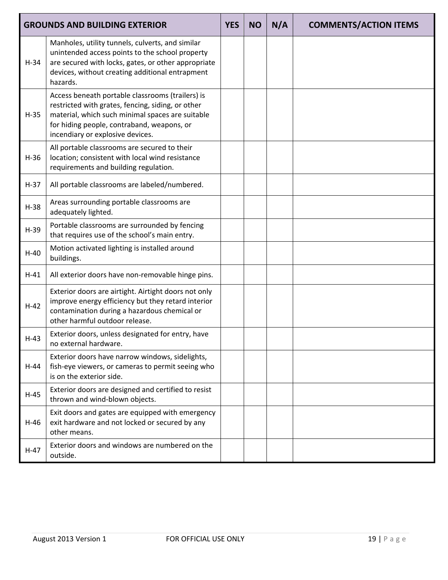|        | <b>GROUNDS AND BUILDING EXTERIOR</b>                                                                                                                                                                                                        | <b>YES</b> | <b>NO</b> | N/A | <b>COMMENTS/ACTION ITEMS</b> |
|--------|---------------------------------------------------------------------------------------------------------------------------------------------------------------------------------------------------------------------------------------------|------------|-----------|-----|------------------------------|
| $H-34$ | Manholes, utility tunnels, culverts, and similar<br>unintended access points to the school property<br>are secured with locks, gates, or other appropriate<br>devices, without creating additional entrapment<br>hazards.                   |            |           |     |                              |
| $H-35$ | Access beneath portable classrooms (trailers) is<br>restricted with grates, fencing, siding, or other<br>material, which such minimal spaces are suitable<br>for hiding people, contraband, weapons, or<br>incendiary or explosive devices. |            |           |     |                              |
| $H-36$ | All portable classrooms are secured to their<br>location; consistent with local wind resistance<br>requirements and building regulation.                                                                                                    |            |           |     |                              |
| $H-37$ | All portable classrooms are labeled/numbered.                                                                                                                                                                                               |            |           |     |                              |
| $H-38$ | Areas surrounding portable classrooms are<br>adequately lighted.                                                                                                                                                                            |            |           |     |                              |
| $H-39$ | Portable classrooms are surrounded by fencing<br>that requires use of the school's main entry.                                                                                                                                              |            |           |     |                              |
| $H-40$ | Motion activated lighting is installed around<br>buildings.                                                                                                                                                                                 |            |           |     |                              |
| $H-41$ | All exterior doors have non-removable hinge pins.                                                                                                                                                                                           |            |           |     |                              |
| $H-42$ | Exterior doors are airtight. Airtight doors not only<br>improve energy efficiency but they retard interior<br>contamination during a hazardous chemical or<br>other harmful outdoor release.                                                |            |           |     |                              |
| $H-43$ | Exterior doors, unless designated for entry, have<br>no external hardware.                                                                                                                                                                  |            |           |     |                              |
| $H-44$ | Exterior doors have narrow windows, sidelights,<br>fish-eye viewers, or cameras to permit seeing who<br>is on the exterior side.                                                                                                            |            |           |     |                              |
| $H-45$ | Exterior doors are designed and certified to resist<br>thrown and wind-blown objects.                                                                                                                                                       |            |           |     |                              |
| $H-46$ | Exit doors and gates are equipped with emergency<br>exit hardware and not locked or secured by any<br>other means.                                                                                                                          |            |           |     |                              |
| $H-47$ | Exterior doors and windows are numbered on the<br>outside.                                                                                                                                                                                  |            |           |     |                              |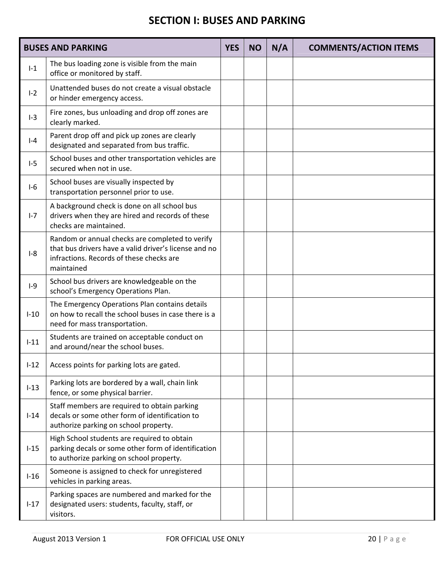#### **SECTION I: BUSES AND PARKING**

|          | <b>BUSES AND PARKING</b>                                                                                                                                           | <b>YES</b> | <b>NO</b> | N/A | <b>COMMENTS/ACTION ITEMS</b> |
|----------|--------------------------------------------------------------------------------------------------------------------------------------------------------------------|------------|-----------|-----|------------------------------|
| $I-1$    | The bus loading zone is visible from the main<br>office or monitored by staff.                                                                                     |            |           |     |                              |
| $I-2$    | Unattended buses do not create a visual obstacle<br>or hinder emergency access.                                                                                    |            |           |     |                              |
| $I-3$    | Fire zones, bus unloading and drop off zones are<br>clearly marked.                                                                                                |            |           |     |                              |
| $I - 4$  | Parent drop off and pick up zones are clearly<br>designated and separated from bus traffic.                                                                        |            |           |     |                              |
| $I-5$    | School buses and other transportation vehicles are<br>secured when not in use.                                                                                     |            |           |     |                              |
| $I-6$    | School buses are visually inspected by<br>transportation personnel prior to use.                                                                                   |            |           |     |                              |
| $I - 7$  | A background check is done on all school bus<br>drivers when they are hired and records of these<br>checks are maintained.                                         |            |           |     |                              |
| $I-8$    | Random or annual checks are completed to verify<br>that bus drivers have a valid driver's license and no<br>infractions. Records of these checks are<br>maintained |            |           |     |                              |
| $I-9$    | School bus drivers are knowledgeable on the<br>school's Emergency Operations Plan.                                                                                 |            |           |     |                              |
| $I-10$   | The Emergency Operations Plan contains details<br>on how to recall the school buses in case there is a<br>need for mass transportation.                            |            |           |     |                              |
| $I-11$   | Students are trained on acceptable conduct on<br>and around/near the school buses.                                                                                 |            |           |     |                              |
| $I-12$   | Access points for parking lots are gated.                                                                                                                          |            |           |     |                              |
| $I-13$   | Parking lots are bordered by a wall, chain link<br>fence, or some physical barrier.                                                                                |            |           |     |                              |
| $I-14$   | Staff members are required to obtain parking<br>decals or some other form of identification to<br>authorize parking on school property.                            |            |           |     |                              |
| $I-15$   | High School students are required to obtain<br>parking decals or some other form of identification<br>to authorize parking on school property.                     |            |           |     |                              |
| $I-16$   | Someone is assigned to check for unregistered<br>vehicles in parking areas.                                                                                        |            |           |     |                              |
| $1 - 17$ | Parking spaces are numbered and marked for the<br>designated users: students, faculty, staff, or<br>visitors.                                                      |            |           |     |                              |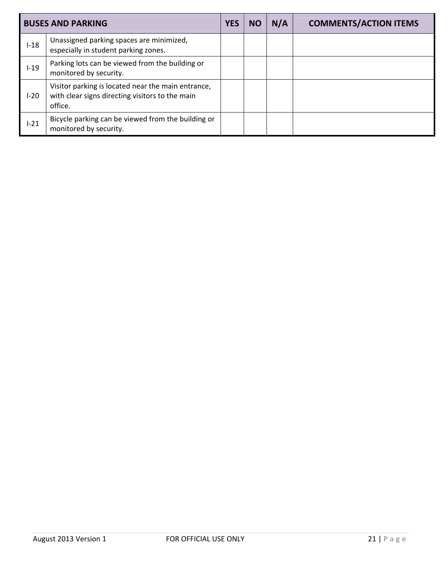|          | <b>BUSES AND PARKING</b>                                                                                         | <b>YES</b> | NO | N/A | <b>COMMENTS/ACTION ITEMS</b> |
|----------|------------------------------------------------------------------------------------------------------------------|------------|----|-----|------------------------------|
| $I-18$   | Unassigned parking spaces are minimized,<br>especially in student parking zones.                                 |            |    |     |                              |
| $I-19$   | Parking lots can be viewed from the building or<br>monitored by security.                                        |            |    |     |                              |
| $I-20$   | Visitor parking is located near the main entrance,<br>with clear signs directing visitors to the main<br>office. |            |    |     |                              |
| $1 - 21$ | Bicycle parking can be viewed from the building or<br>monitored by security.                                     |            |    |     |                              |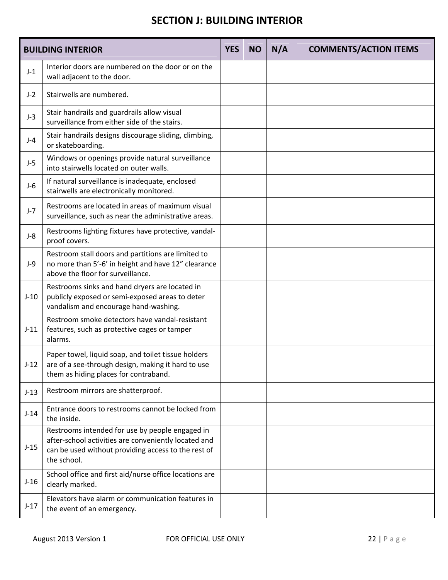#### **SECTION J: BUILDING INTERIOR**

|        | <b>BUILDING INTERIOR</b>                                                                                                                                                      | <b>YES</b> | <b>NO</b> | N/A | <b>COMMENTS/ACTION ITEMS</b> |
|--------|-------------------------------------------------------------------------------------------------------------------------------------------------------------------------------|------------|-----------|-----|------------------------------|
| $J-1$  | Interior doors are numbered on the door or on the<br>wall adjacent to the door.                                                                                               |            |           |     |                              |
| $J-2$  | Stairwells are numbered.                                                                                                                                                      |            |           |     |                              |
| $J-3$  | Stair handrails and guardrails allow visual<br>surveillance from either side of the stairs.                                                                                   |            |           |     |                              |
| $J-4$  | Stair handrails designs discourage sliding, climbing,<br>or skateboarding.                                                                                                    |            |           |     |                              |
| $J-5$  | Windows or openings provide natural surveillance<br>into stairwells located on outer walls.                                                                                   |            |           |     |                              |
| $J-6$  | If natural surveillance is inadequate, enclosed<br>stairwells are electronically monitored.                                                                                   |            |           |     |                              |
| $J-7$  | Restrooms are located in areas of maximum visual<br>surveillance, such as near the administrative areas.                                                                      |            |           |     |                              |
| $J-8$  | Restrooms lighting fixtures have protective, vandal-<br>proof covers.                                                                                                         |            |           |     |                              |
| $J-9$  | Restroom stall doors and partitions are limited to<br>no more than 5'-6' in height and have 12" clearance<br>above the floor for surveillance.                                |            |           |     |                              |
| $J-10$ | Restrooms sinks and hand dryers are located in<br>publicly exposed or semi-exposed areas to deter<br>vandalism and encourage hand-washing.                                    |            |           |     |                              |
| $J-11$ | Restroom smoke detectors have vandal-resistant<br>features, such as protective cages or tamper<br>alarms.                                                                     |            |           |     |                              |
| $J-12$ | Paper towel, liquid soap, and toilet tissue holders<br>are of a see-through design, making it hard to use<br>them as hiding places for contraband.                            |            |           |     |                              |
| $J-13$ | Restroom mirrors are shatterproof.                                                                                                                                            |            |           |     |                              |
| $J-14$ | Entrance doors to restrooms cannot be locked from<br>the inside.                                                                                                              |            |           |     |                              |
| $J-15$ | Restrooms intended for use by people engaged in<br>after-school activities are conveniently located and<br>can be used without providing access to the rest of<br>the school. |            |           |     |                              |
| $J-16$ | School office and first aid/nurse office locations are<br>clearly marked.                                                                                                     |            |           |     |                              |
| $J-17$ | Elevators have alarm or communication features in<br>the event of an emergency.                                                                                               |            |           |     |                              |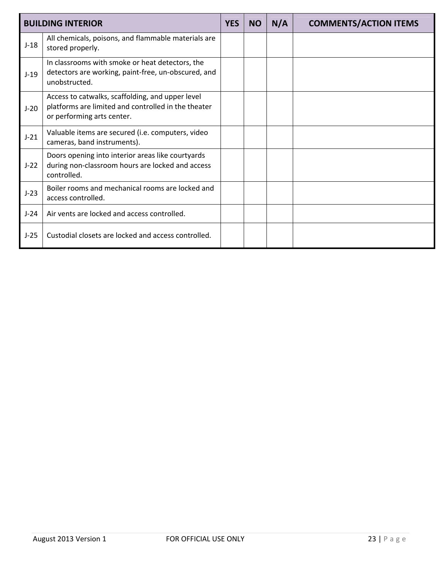|        | <b>BUILDING INTERIOR</b>                                                                                                              | <b>YES</b> | <b>NO</b> | N/A | <b>COMMENTS/ACTION ITEMS</b> |
|--------|---------------------------------------------------------------------------------------------------------------------------------------|------------|-----------|-----|------------------------------|
| $J-18$ | All chemicals, poisons, and flammable materials are<br>stored properly.                                                               |            |           |     |                              |
| $J-19$ | In classrooms with smoke or heat detectors, the<br>detectors are working, paint-free, un-obscured, and<br>unobstructed.               |            |           |     |                              |
| $J-20$ | Access to catwalks, scaffolding, and upper level<br>platforms are limited and controlled in the theater<br>or performing arts center. |            |           |     |                              |
| $J-21$ | Valuable items are secured (i.e. computers, video<br>cameras, band instruments).                                                      |            |           |     |                              |
| $J-22$ | Doors opening into interior areas like courtyards<br>during non-classroom hours are locked and access<br>controlled.                  |            |           |     |                              |
| $J-23$ | Boiler rooms and mechanical rooms are locked and<br>access controlled.                                                                |            |           |     |                              |
| $J-24$ | Air vents are locked and access controlled.                                                                                           |            |           |     |                              |
| $J-25$ | Custodial closets are locked and access controlled.                                                                                   |            |           |     |                              |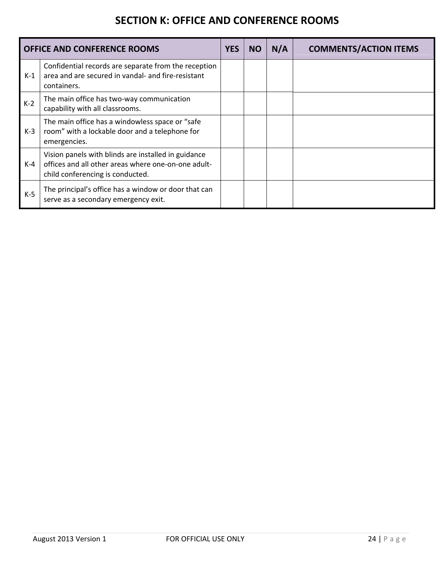#### **SECTION K: OFFICE AND CONFERENCE ROOMS**

|       | <b>OFFICE AND CONFERENCE ROOMS</b>                                                                                                             | <b>YES</b> | <b>NO</b> | N/A | <b>COMMENTS/ACTION ITEMS</b> |
|-------|------------------------------------------------------------------------------------------------------------------------------------------------|------------|-----------|-----|------------------------------|
| $K-1$ | Confidential records are separate from the reception<br>area and are secured in vandal- and fire-resistant<br>containers.                      |            |           |     |                              |
| $K-2$ | The main office has two-way communication<br>capability with all classrooms.                                                                   |            |           |     |                              |
| $K-3$ | The main office has a windowless space or "safe<br>room" with a lockable door and a telephone for<br>emergencies.                              |            |           |     |                              |
| $K-4$ | Vision panels with blinds are installed in guidance<br>offices and all other areas where one-on-one adult-<br>child conferencing is conducted. |            |           |     |                              |
| $K-5$ | The principal's office has a window or door that can<br>serve as a secondary emergency exit.                                                   |            |           |     |                              |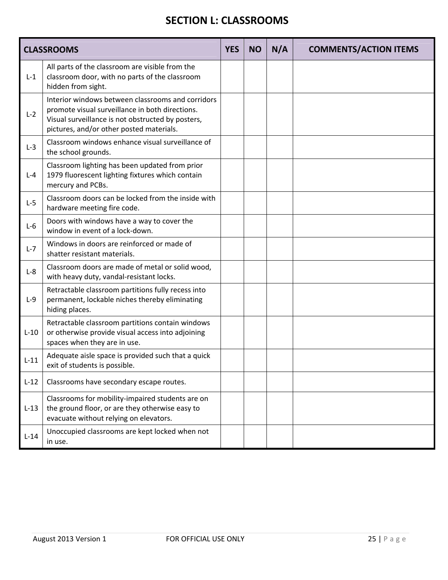#### **SECTION L: CLASSROOMS**

|         | <b>CLASSROOMS</b>                                                                                                                                                                                     | <b>YES</b> | <b>NO</b> | N/A | <b>COMMENTS/ACTION ITEMS</b> |
|---------|-------------------------------------------------------------------------------------------------------------------------------------------------------------------------------------------------------|------------|-----------|-----|------------------------------|
| $L-1$   | All parts of the classroom are visible from the<br>classroom door, with no parts of the classroom<br>hidden from sight.                                                                               |            |           |     |                              |
| $L-2$   | Interior windows between classrooms and corridors<br>promote visual surveillance in both directions.<br>Visual surveillance is not obstructed by posters,<br>pictures, and/or other posted materials. |            |           |     |                              |
| $L-3$   | Classroom windows enhance visual surveillance of<br>the school grounds.                                                                                                                               |            |           |     |                              |
| $L - 4$ | Classroom lighting has been updated from prior<br>1979 fluorescent lighting fixtures which contain<br>mercury and PCBs.                                                                               |            |           |     |                              |
| $L-5$   | Classroom doors can be locked from the inside with<br>hardware meeting fire code.                                                                                                                     |            |           |     |                              |
| $L-6$   | Doors with windows have a way to cover the<br>window in event of a lock-down.                                                                                                                         |            |           |     |                              |
| $L - 7$ | Windows in doors are reinforced or made of<br>shatter resistant materials.                                                                                                                            |            |           |     |                              |
| $L-8$   | Classroom doors are made of metal or solid wood,<br>with heavy duty, vandal-resistant locks.                                                                                                          |            |           |     |                              |
| $L-9$   | Retractable classroom partitions fully recess into<br>permanent, lockable niches thereby eliminating<br>hiding places.                                                                                |            |           |     |                              |
| $L-10$  | Retractable classroom partitions contain windows<br>or otherwise provide visual access into adjoining<br>spaces when they are in use.                                                                 |            |           |     |                              |
| $L-11$  | Adequate aisle space is provided such that a quick<br>exit of students is possible.                                                                                                                   |            |           |     |                              |
| $L-12$  | Classrooms have secondary escape routes.                                                                                                                                                              |            |           |     |                              |
| $L-13$  | Classrooms for mobility-impaired students are on<br>the ground floor, or are they otherwise easy to<br>evacuate without relying on elevators.                                                         |            |           |     |                              |
| $L-14$  | Unoccupied classrooms are kept locked when not<br>in use.                                                                                                                                             |            |           |     |                              |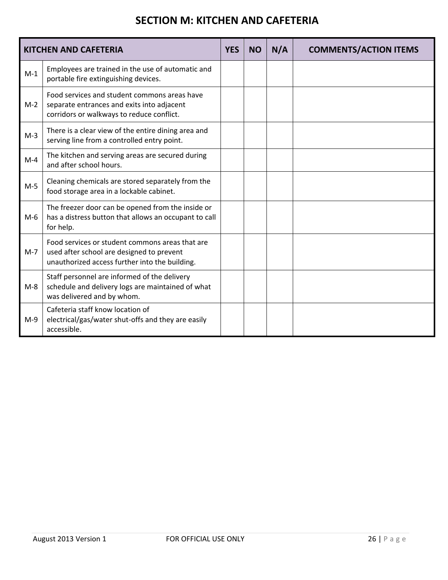#### **SECTION M: KITCHEN AND CAFETERIA**

|       | <b>KITCHEN AND CAFETERIA</b>                                                                                                                   | <b>YES</b> | <b>NO</b> | N/A | <b>COMMENTS/ACTION ITEMS</b> |
|-------|------------------------------------------------------------------------------------------------------------------------------------------------|------------|-----------|-----|------------------------------|
| $M-1$ | Employees are trained in the use of automatic and<br>portable fire extinguishing devices.                                                      |            |           |     |                              |
| $M-2$ | Food services and student commons areas have<br>separate entrances and exits into adjacent<br>corridors or walkways to reduce conflict.        |            |           |     |                              |
| $M-3$ | There is a clear view of the entire dining area and<br>serving line from a controlled entry point.                                             |            |           |     |                              |
| $M-4$ | The kitchen and serving areas are secured during<br>and after school hours.                                                                    |            |           |     |                              |
| $M-5$ | Cleaning chemicals are stored separately from the<br>food storage area in a lockable cabinet.                                                  |            |           |     |                              |
| $M-6$ | The freezer door can be opened from the inside or<br>has a distress button that allows an occupant to call<br>for help.                        |            |           |     |                              |
| $M-7$ | Food services or student commons areas that are<br>used after school are designed to prevent<br>unauthorized access further into the building. |            |           |     |                              |
| $M-8$ | Staff personnel are informed of the delivery<br>schedule and delivery logs are maintained of what<br>was delivered and by whom.                |            |           |     |                              |
| $M-9$ | Cafeteria staff know location of<br>electrical/gas/water shut-offs and they are easily<br>accessible.                                          |            |           |     |                              |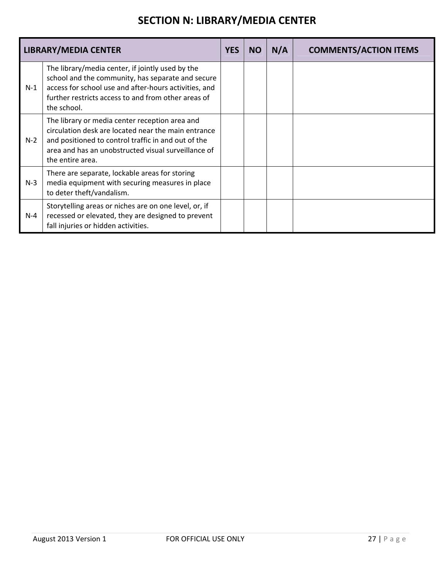# **SECTION N: LIBRARY/MEDIA CENTER**

|       | <b>LIBRARY/MEDIA CENTER</b>                                                                                                                                                                                                             | <b>YES</b> | <b>NO</b> | N/A | <b>COMMENTS/ACTION ITEMS</b> |
|-------|-----------------------------------------------------------------------------------------------------------------------------------------------------------------------------------------------------------------------------------------|------------|-----------|-----|------------------------------|
| $N-1$ | The library/media center, if jointly used by the<br>school and the community, has separate and secure<br>access for school use and after-hours activities, and<br>further restricts access to and from other areas of<br>the school.    |            |           |     |                              |
| $N-2$ | The library or media center reception area and<br>circulation desk are located near the main entrance<br>and positioned to control traffic in and out of the<br>area and has an unobstructed visual surveillance of<br>the entire area. |            |           |     |                              |
| $N-3$ | There are separate, lockable areas for storing<br>media equipment with securing measures in place<br>to deter theft/vandalism.                                                                                                          |            |           |     |                              |
| $N-4$ | Storytelling areas or niches are on one level, or, if<br>recessed or elevated, they are designed to prevent<br>fall injuries or hidden activities.                                                                                      |            |           |     |                              |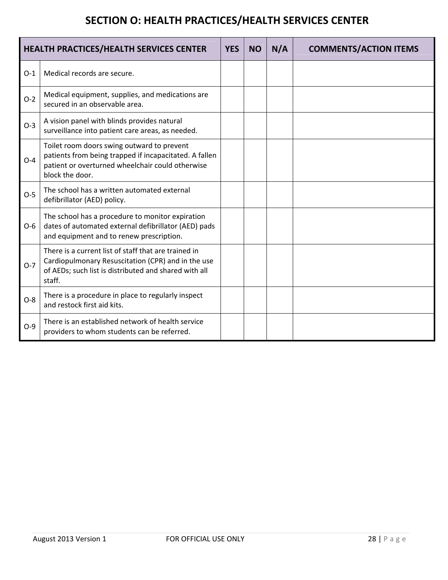# **SECTION O: HEALTH PRACTICES/HEALTH SERVICES CENTER**

| <b>HEALTH PRACTICES/HEALTH SERVICES CENTER</b> |                                                                                                                                                                               | <b>YES</b> | <b>NO</b> | N/A | <b>COMMENTS/ACTION ITEMS</b> |
|------------------------------------------------|-------------------------------------------------------------------------------------------------------------------------------------------------------------------------------|------------|-----------|-----|------------------------------|
| $O-1$                                          | Medical records are secure.                                                                                                                                                   |            |           |     |                              |
| $O-2$                                          | Medical equipment, supplies, and medications are<br>secured in an observable area.                                                                                            |            |           |     |                              |
| $O-3$                                          | A vision panel with blinds provides natural<br>surveillance into patient care areas, as needed.                                                                               |            |           |     |                              |
| $O-4$                                          | Toilet room doors swing outward to prevent<br>patients from being trapped if incapacitated. A fallen<br>patient or overturned wheelchair could otherwise<br>block the door.   |            |           |     |                              |
| $O-5$                                          | The school has a written automated external<br>defibrillator (AED) policy.                                                                                                    |            |           |     |                              |
| $O-6$                                          | The school has a procedure to monitor expiration<br>dates of automated external defibrillator (AED) pads<br>and equipment and to renew prescription.                          |            |           |     |                              |
| $O-7$                                          | There is a current list of staff that are trained in<br>Cardiopulmonary Resuscitation (CPR) and in the use<br>of AEDs; such list is distributed and shared with all<br>staff. |            |           |     |                              |
| $O-8$                                          | There is a procedure in place to regularly inspect<br>and restock first aid kits.                                                                                             |            |           |     |                              |
| $O-9$                                          | There is an established network of health service<br>providers to whom students can be referred.                                                                              |            |           |     |                              |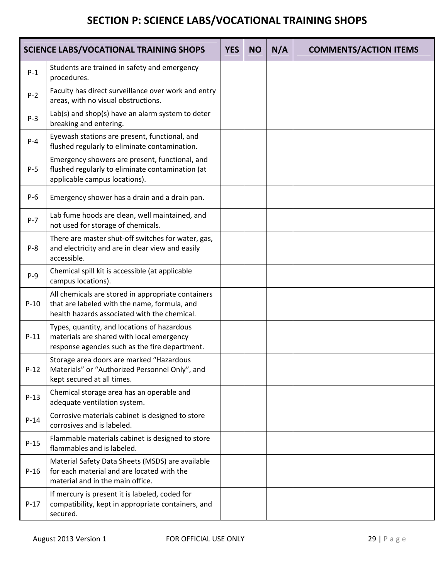# **SECTION P: SCIENCE LABS/VOCATIONAL TRAINING SHOPS**

| <b>SCIENCE LABS/VOCATIONAL TRAINING SHOPS</b> |                                                                                                                                                    |  | <b>NO</b> | N/A | <b>COMMENTS/ACTION ITEMS</b> |
|-----------------------------------------------|----------------------------------------------------------------------------------------------------------------------------------------------------|--|-----------|-----|------------------------------|
| $P-1$                                         | Students are trained in safety and emergency<br>procedures.                                                                                        |  |           |     |                              |
| $P-2$                                         | Faculty has direct surveillance over work and entry<br>areas, with no visual obstructions.                                                         |  |           |     |                              |
| $P-3$                                         | Lab(s) and shop(s) have an alarm system to deter<br>breaking and entering.                                                                         |  |           |     |                              |
| $P - 4$                                       | Eyewash stations are present, functional, and<br>flushed regularly to eliminate contamination.                                                     |  |           |     |                              |
| $P-5$                                         | Emergency showers are present, functional, and<br>flushed regularly to eliminate contamination (at<br>applicable campus locations).                |  |           |     |                              |
| $P-6$                                         | Emergency shower has a drain and a drain pan.                                                                                                      |  |           |     |                              |
| $P - 7$                                       | Lab fume hoods are clean, well maintained, and<br>not used for storage of chemicals.                                                               |  |           |     |                              |
| $P-8$                                         | There are master shut-off switches for water, gas,<br>and electricity and are in clear view and easily<br>accessible.                              |  |           |     |                              |
| $P-9$                                         | Chemical spill kit is accessible (at applicable<br>campus locations).                                                                              |  |           |     |                              |
| $P-10$                                        | All chemicals are stored in appropriate containers<br>that are labeled with the name, formula, and<br>health hazards associated with the chemical. |  |           |     |                              |
| $P-11$                                        | Types, quantity, and locations of hazardous<br>materials are shared with local emergency<br>response agencies such as the fire department.         |  |           |     |                              |
| $P-12$                                        | Storage area doors are marked "Hazardous<br>Materials" or "Authorized Personnel Only", and<br>kept secured at all times.                           |  |           |     |                              |
| $P-13$                                        | Chemical storage area has an operable and<br>adequate ventilation system.                                                                          |  |           |     |                              |
| $P-14$                                        | Corrosive materials cabinet is designed to store<br>corrosives and is labeled.                                                                     |  |           |     |                              |
| $P-15$                                        | Flammable materials cabinet is designed to store<br>flammables and is labeled.                                                                     |  |           |     |                              |
| $P-16$                                        | Material Safety Data Sheets (MSDS) are available<br>for each material and are located with the<br>material and in the main office.                 |  |           |     |                              |
| $P-17$                                        | If mercury is present it is labeled, coded for<br>compatibility, kept in appropriate containers, and<br>secured.                                   |  |           |     |                              |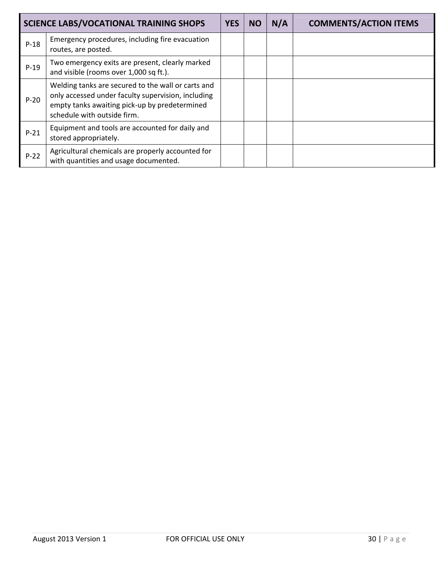| <b>SCIENCE LABS/VOCATIONAL TRAINING SHOPS</b> |                                                                                                                                                                                          |  | <b>NO</b> | N/A | <b>COMMENTS/ACTION ITEMS</b> |
|-----------------------------------------------|------------------------------------------------------------------------------------------------------------------------------------------------------------------------------------------|--|-----------|-----|------------------------------|
| $P-18$                                        | Emergency procedures, including fire evacuation<br>routes, are posted.                                                                                                                   |  |           |     |                              |
| $P-19$                                        | Two emergency exits are present, clearly marked<br>and visible (rooms over 1,000 sq ft.).                                                                                                |  |           |     |                              |
| $P-20$                                        | Welding tanks are secured to the wall or carts and<br>only accessed under faculty supervision, including<br>empty tanks awaiting pick-up by predetermined<br>schedule with outside firm. |  |           |     |                              |
| $P-21$                                        | Equipment and tools are accounted for daily and<br>stored appropriately.                                                                                                                 |  |           |     |                              |
| $P-22$                                        | Agricultural chemicals are properly accounted for<br>with quantities and usage documented.                                                                                               |  |           |     |                              |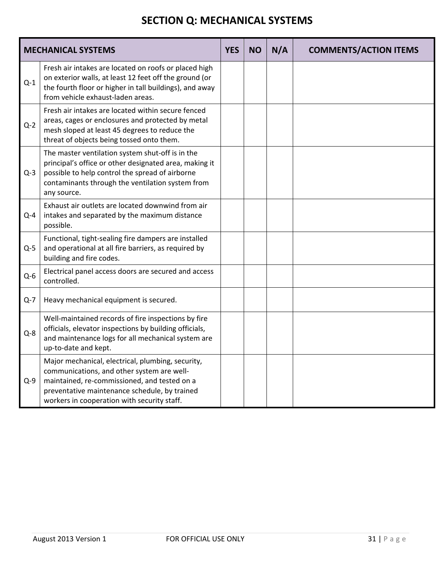### **SECTION Q: MECHANICAL SYSTEMS**

|         | <b>MECHANICAL SYSTEMS</b>                                                                                                                                                                                                                       | <b>YES</b> | <b>NO</b> | N/A | <b>COMMENTS/ACTION ITEMS</b> |
|---------|-------------------------------------------------------------------------------------------------------------------------------------------------------------------------------------------------------------------------------------------------|------------|-----------|-----|------------------------------|
| $Q-1$   | Fresh air intakes are located on roofs or placed high<br>on exterior walls, at least 12 feet off the ground (or<br>the fourth floor or higher in tall buildings), and away<br>from vehicle exhaust-laden areas.                                 |            |           |     |                              |
| $Q-2$   | Fresh air intakes are located within secure fenced<br>areas, cages or enclosures and protected by metal<br>mesh sloped at least 45 degrees to reduce the<br>threat of objects being tossed onto them.                                           |            |           |     |                              |
| $Q-3$   | The master ventilation system shut-off is in the<br>principal's office or other designated area, making it<br>possible to help control the spread of airborne<br>contaminants through the ventilation system from<br>any source.                |            |           |     |                              |
| $Q - 4$ | Exhaust air outlets are located downwind from air<br>intakes and separated by the maximum distance<br>possible.                                                                                                                                 |            |           |     |                              |
| $Q-5$   | Functional, tight-sealing fire dampers are installed<br>and operational at all fire barriers, as required by<br>building and fire codes.                                                                                                        |            |           |     |                              |
| $Q-6$   | Electrical panel access doors are secured and access<br>controlled.                                                                                                                                                                             |            |           |     |                              |
| $Q-7$   | Heavy mechanical equipment is secured.                                                                                                                                                                                                          |            |           |     |                              |
| $Q - 8$ | Well-maintained records of fire inspections by fire<br>officials, elevator inspections by building officials,<br>and maintenance logs for all mechanical system are<br>up-to-date and kept.                                                     |            |           |     |                              |
| $Q-9$   | Major mechanical, electrical, plumbing, security,<br>communications, and other system are well-<br>maintained, re-commissioned, and tested on a<br>preventative maintenance schedule, by trained<br>workers in cooperation with security staff. |            |           |     |                              |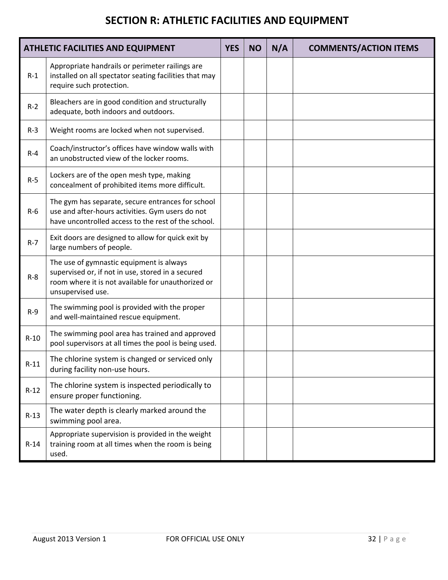### **SECTION R: ATHLETIC FACILITIES AND EQUIPMENT**

| <b>ATHLETIC FACILITIES AND EQUIPMENT</b> |                                                                                                                                                                          |  | <b>NO</b> | N/A | <b>COMMENTS/ACTION ITEMS</b> |
|------------------------------------------|--------------------------------------------------------------------------------------------------------------------------------------------------------------------------|--|-----------|-----|------------------------------|
| $R-1$                                    | Appropriate handrails or perimeter railings are<br>installed on all spectator seating facilities that may<br>require such protection.                                    |  |           |     |                              |
| $R-2$                                    | Bleachers are in good condition and structurally<br>adequate, both indoors and outdoors.                                                                                 |  |           |     |                              |
| $R-3$                                    | Weight rooms are locked when not supervised.                                                                                                                             |  |           |     |                              |
| $R - 4$                                  | Coach/instructor's offices have window walls with<br>an unobstructed view of the locker rooms.                                                                           |  |           |     |                              |
| $R-5$                                    | Lockers are of the open mesh type, making<br>concealment of prohibited items more difficult.                                                                             |  |           |     |                              |
| $R-6$                                    | The gym has separate, secure entrances for school<br>use and after-hours activities. Gym users do not<br>have uncontrolled access to the rest of the school.             |  |           |     |                              |
| $R - 7$                                  | Exit doors are designed to allow for quick exit by<br>large numbers of people.                                                                                           |  |           |     |                              |
| $R-8$                                    | The use of gymnastic equipment is always<br>supervised or, if not in use, stored in a secured<br>room where it is not available for unauthorized or<br>unsupervised use. |  |           |     |                              |
| $R-9$                                    | The swimming pool is provided with the proper<br>and well-maintained rescue equipment.                                                                                   |  |           |     |                              |
| $R-10$                                   | The swimming pool area has trained and approved<br>pool supervisors at all times the pool is being used.                                                                 |  |           |     |                              |
| $R-11$                                   | The chlorine system is changed or serviced only<br>during facility non-use hours.                                                                                        |  |           |     |                              |
| $R-12$                                   | The chlorine system is inspected periodically to<br>ensure proper functioning.                                                                                           |  |           |     |                              |
| $R-13$                                   | The water depth is clearly marked around the<br>swimming pool area.                                                                                                      |  |           |     |                              |
| $R-14$                                   | Appropriate supervision is provided in the weight<br>training room at all times when the room is being<br>used.                                                          |  |           |     |                              |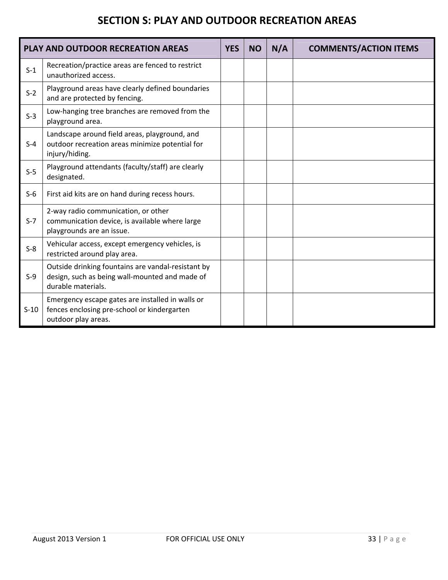#### **SECTION S: PLAY AND OUTDOOR RECREATION AREAS**

|        | <b>PLAY AND OUTDOOR RECREATION AREAS</b>                                                                                   | <b>YES</b> | <b>NO</b> | N/A | <b>COMMENTS/ACTION ITEMS</b> |
|--------|----------------------------------------------------------------------------------------------------------------------------|------------|-----------|-----|------------------------------|
| $S-1$  | Recreation/practice areas are fenced to restrict<br>unauthorized access.                                                   |            |           |     |                              |
| $S-2$  | Playground areas have clearly defined boundaries<br>and are protected by fencing.                                          |            |           |     |                              |
| $S-3$  | Low-hanging tree branches are removed from the<br>playground area.                                                         |            |           |     |                              |
| $S-4$  | Landscape around field areas, playground, and<br>outdoor recreation areas minimize potential for<br>injury/hiding.         |            |           |     |                              |
| $S-5$  | Playground attendants (faculty/staff) are clearly<br>designated.                                                           |            |           |     |                              |
| $S-6$  | First aid kits are on hand during recess hours.                                                                            |            |           |     |                              |
| $S-7$  | 2-way radio communication, or other<br>communication device, is available where large<br>playgrounds are an issue.         |            |           |     |                              |
| $S-8$  | Vehicular access, except emergency vehicles, is<br>restricted around play area.                                            |            |           |     |                              |
| $S-9$  | Outside drinking fountains are vandal-resistant by<br>design, such as being wall-mounted and made of<br>durable materials. |            |           |     |                              |
| $S-10$ | Emergency escape gates are installed in walls or<br>fences enclosing pre-school or kindergarten<br>outdoor play areas.     |            |           |     |                              |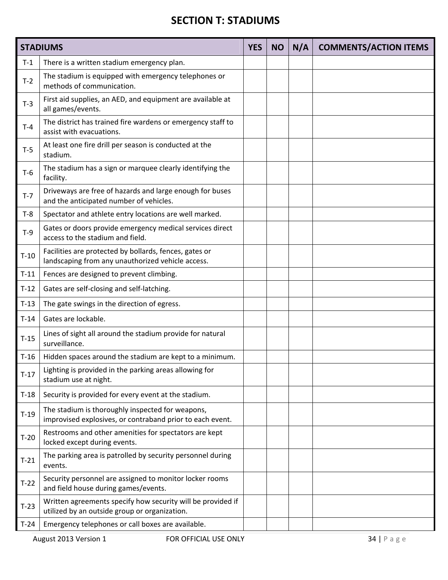#### **SECTION T: STADIUMS**

|        | <b>STADIUMS</b>                                                                                               | <b>YES</b> | <b>NO</b> | N/A | <b>COMMENTS/ACTION ITEMS</b> |
|--------|---------------------------------------------------------------------------------------------------------------|------------|-----------|-----|------------------------------|
| $T-1$  | There is a written stadium emergency plan.                                                                    |            |           |     |                              |
| $T-2$  | The stadium is equipped with emergency telephones or<br>methods of communication.                             |            |           |     |                              |
| $T-3$  | First aid supplies, an AED, and equipment are available at<br>all games/events.                               |            |           |     |                              |
| $T-4$  | The district has trained fire wardens or emergency staff to<br>assist with evacuations.                       |            |           |     |                              |
| $T-5$  | At least one fire drill per season is conducted at the<br>stadium.                                            |            |           |     |                              |
| $T-6$  | The stadium has a sign or marquee clearly identifying the<br>facility.                                        |            |           |     |                              |
| $T-7$  | Driveways are free of hazards and large enough for buses<br>and the anticipated number of vehicles.           |            |           |     |                              |
| $T-8$  | Spectator and athlete entry locations are well marked.                                                        |            |           |     |                              |
| $T-9$  | Gates or doors provide emergency medical services direct<br>access to the stadium and field.                  |            |           |     |                              |
| $T-10$ | Facilities are protected by bollards, fences, gates or<br>landscaping from any unauthorized vehicle access.   |            |           |     |                              |
| $T-11$ | Fences are designed to prevent climbing.                                                                      |            |           |     |                              |
| $T-12$ | Gates are self-closing and self-latching.                                                                     |            |           |     |                              |
| $T-13$ | The gate swings in the direction of egress.                                                                   |            |           |     |                              |
| $T-14$ | Gates are lockable.                                                                                           |            |           |     |                              |
| $T-15$ | Lines of sight all around the stadium provide for natural<br>surveillance.                                    |            |           |     |                              |
| $T-16$ | Hidden spaces around the stadium are kept to a minimum.                                                       |            |           |     |                              |
| $T-17$ | Lighting is provided in the parking areas allowing for<br>stadium use at night.                               |            |           |     |                              |
| $T-18$ | Security is provided for every event at the stadium.                                                          |            |           |     |                              |
| $T-19$ | The stadium is thoroughly inspected for weapons,<br>improvised explosives, or contraband prior to each event. |            |           |     |                              |
| $T-20$ | Restrooms and other amenities for spectators are kept<br>locked except during events.                         |            |           |     |                              |
| $T-21$ | The parking area is patrolled by security personnel during<br>events.                                         |            |           |     |                              |
| $T-22$ | Security personnel are assigned to monitor locker rooms<br>and field house during games/events.               |            |           |     |                              |
| $T-23$ | Written agreements specify how security will be provided if<br>utilized by an outside group or organization.  |            |           |     |                              |
| $T-24$ | Emergency telephones or call boxes are available.                                                             |            |           |     |                              |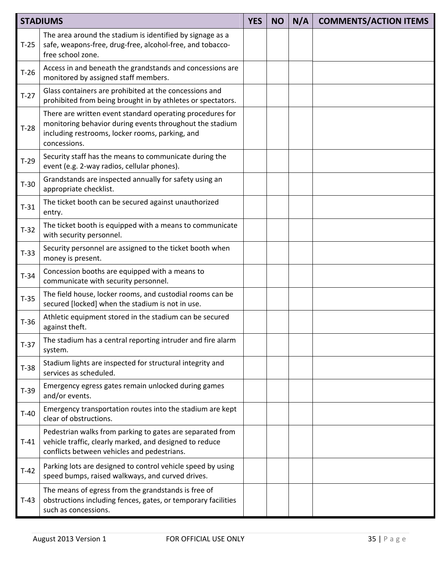|        | <b>STADIUMS</b>                                                                                                                                                                          | <b>YES</b> | <b>NO</b> | N/A | <b>COMMENTS/ACTION ITEMS</b> |
|--------|------------------------------------------------------------------------------------------------------------------------------------------------------------------------------------------|------------|-----------|-----|------------------------------|
| $T-25$ | The area around the stadium is identified by signage as a<br>safe, weapons-free, drug-free, alcohol-free, and tobacco-<br>free school zone.                                              |            |           |     |                              |
| $T-26$ | Access in and beneath the grandstands and concessions are<br>monitored by assigned staff members.                                                                                        |            |           |     |                              |
| $T-27$ | Glass containers are prohibited at the concessions and<br>prohibited from being brought in by athletes or spectators.                                                                    |            |           |     |                              |
| $T-28$ | There are written event standard operating procedures for<br>monitoring behavior during events throughout the stadium<br>including restrooms, locker rooms, parking, and<br>concessions. |            |           |     |                              |
| $T-29$ | Security staff has the means to communicate during the<br>event (e.g. 2-way radios, cellular phones).                                                                                    |            |           |     |                              |
| $T-30$ | Grandstands are inspected annually for safety using an<br>appropriate checklist.                                                                                                         |            |           |     |                              |
| $T-31$ | The ticket booth can be secured against unauthorized<br>entry.                                                                                                                           |            |           |     |                              |
| $T-32$ | The ticket booth is equipped with a means to communicate<br>with security personnel.                                                                                                     |            |           |     |                              |
| $T-33$ | Security personnel are assigned to the ticket booth when<br>money is present.                                                                                                            |            |           |     |                              |
| $T-34$ | Concession booths are equipped with a means to<br>communicate with security personnel.                                                                                                   |            |           |     |                              |
| $T-35$ | The field house, locker rooms, and custodial rooms can be<br>secured [locked] when the stadium is not in use.                                                                            |            |           |     |                              |
| $T-36$ | Athletic equipment stored in the stadium can be secured<br>against theft.                                                                                                                |            |           |     |                              |
| $T-37$ | The stadium has a central reporting intruder and fire alarm<br>system.                                                                                                                   |            |           |     |                              |
| $T-38$ | Stadium lights are inspected for structural integrity and<br>services as scheduled.                                                                                                      |            |           |     |                              |
| $T-39$ | Emergency egress gates remain unlocked during games<br>and/or events.                                                                                                                    |            |           |     |                              |
| $T-40$ | Emergency transportation routes into the stadium are kept<br>clear of obstructions.                                                                                                      |            |           |     |                              |
| $T-41$ | Pedestrian walks from parking to gates are separated from<br>vehicle traffic, clearly marked, and designed to reduce<br>conflicts between vehicles and pedestrians.                      |            |           |     |                              |
| $T-42$ | Parking lots are designed to control vehicle speed by using<br>speed bumps, raised walkways, and curved drives.                                                                          |            |           |     |                              |
| $T-43$ | The means of egress from the grandstands is free of<br>obstructions including fences, gates, or temporary facilities<br>such as concessions.                                             |            |           |     |                              |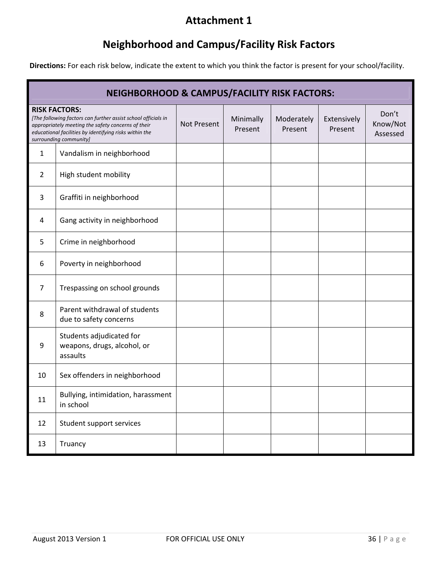#### **Attachment 1**

# **Neighborhood and Campus/Facility Risk Factors**

**Directions:** For each risk below, indicate the extent to which you think the factor is present for your school/facility.

|    | <b>NEIGHBORHOOD &amp; CAMPUS/FACILITY RISK FACTORS:</b>                                                                                                                                                                         |             |                      |                       |                        |                               |  |
|----|---------------------------------------------------------------------------------------------------------------------------------------------------------------------------------------------------------------------------------|-------------|----------------------|-----------------------|------------------------|-------------------------------|--|
|    | <b>RISK FACTORS:</b><br>[The following factors can further assist school officials in<br>appropriately meeting the safety concerns of their<br>educational facilities by identifying risks within the<br>surrounding community] | Not Present | Minimally<br>Present | Moderately<br>Present | Extensively<br>Present | Don't<br>Know/Not<br>Assessed |  |
| 1  | Vandalism in neighborhood                                                                                                                                                                                                       |             |                      |                       |                        |                               |  |
| 2  | High student mobility                                                                                                                                                                                                           |             |                      |                       |                        |                               |  |
| 3  | Graffiti in neighborhood                                                                                                                                                                                                        |             |                      |                       |                        |                               |  |
| 4  | Gang activity in neighborhood                                                                                                                                                                                                   |             |                      |                       |                        |                               |  |
| 5  | Crime in neighborhood                                                                                                                                                                                                           |             |                      |                       |                        |                               |  |
| 6  | Poverty in neighborhood                                                                                                                                                                                                         |             |                      |                       |                        |                               |  |
| 7  | Trespassing on school grounds                                                                                                                                                                                                   |             |                      |                       |                        |                               |  |
| 8  | Parent withdrawal of students<br>due to safety concerns                                                                                                                                                                         |             |                      |                       |                        |                               |  |
| 9  | Students adjudicated for<br>weapons, drugs, alcohol, or<br>assaults                                                                                                                                                             |             |                      |                       |                        |                               |  |
| 10 | Sex offenders in neighborhood                                                                                                                                                                                                   |             |                      |                       |                        |                               |  |
| 11 | Bullying, intimidation, harassment<br>in school                                                                                                                                                                                 |             |                      |                       |                        |                               |  |
| 12 | Student support services                                                                                                                                                                                                        |             |                      |                       |                        |                               |  |
| 13 | Truancy                                                                                                                                                                                                                         |             |                      |                       |                        |                               |  |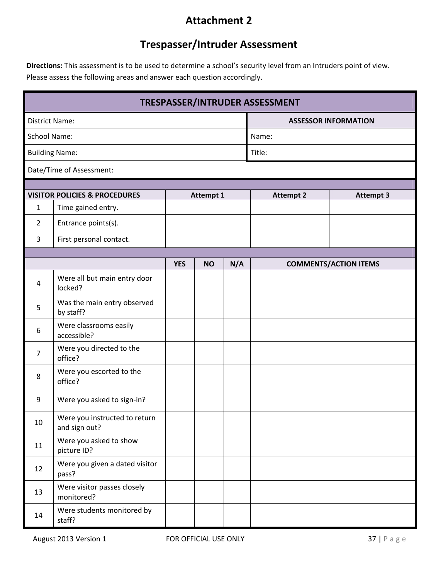#### **Attachment 2**

### **Trespasser/Intruder Assessment**

**Directions:** This assessment is to be used to determine a school's security level from an Intruders point of view. Please assess the following areas and answer each question accordingly.

| TRESPASSER/INTRUDER ASSESSMENT |                                                                |            |                  |     |                             |                              |  |  |
|--------------------------------|----------------------------------------------------------------|------------|------------------|-----|-----------------------------|------------------------------|--|--|
| <b>District Name:</b>          |                                                                |            |                  |     | <b>ASSESSOR INFORMATION</b> |                              |  |  |
| <b>School Name:</b>            |                                                                |            |                  |     | Name:                       |                              |  |  |
| <b>Building Name:</b>          |                                                                |            |                  |     | Title:                      |                              |  |  |
| Date/Time of Assessment:       |                                                                |            |                  |     |                             |                              |  |  |
|                                |                                                                |            |                  |     |                             |                              |  |  |
| 1                              | <b>VISITOR POLICIES &amp; PROCEDURES</b><br>Time gained entry. |            | <b>Attempt 1</b> |     | <b>Attempt 2</b>            | <b>Attempt 3</b>             |  |  |
| $\overline{2}$                 | Entrance points(s).                                            |            |                  |     |                             |                              |  |  |
| 3                              | First personal contact.                                        |            |                  |     |                             |                              |  |  |
|                                |                                                                |            |                  |     |                             |                              |  |  |
|                                |                                                                | <b>YES</b> | <b>NO</b>        | N/A |                             | <b>COMMENTS/ACTION ITEMS</b> |  |  |
| 4                              | Were all but main entry door<br>locked?                        |            |                  |     |                             |                              |  |  |
| 5                              | Was the main entry observed<br>by staff?                       |            |                  |     |                             |                              |  |  |
| 6                              | Were classrooms easily<br>accessible?                          |            |                  |     |                             |                              |  |  |
| 7                              | Were you directed to the<br>office?                            |            |                  |     |                             |                              |  |  |
| 8                              | Were you escorted to the<br>office?                            |            |                  |     |                             |                              |  |  |
| 9                              | Were you asked to sign-in?                                     |            |                  |     |                             |                              |  |  |
| 10                             | Were you instructed to return<br>and sign out?                 |            |                  |     |                             |                              |  |  |
| 11                             | Were you asked to show<br>picture ID?                          |            |                  |     |                             |                              |  |  |
| 12                             | Were you given a dated visitor<br>pass?                        |            |                  |     |                             |                              |  |  |
| 13                             | Were visitor passes closely<br>monitored?                      |            |                  |     |                             |                              |  |  |
| 14                             | Were students monitored by<br>staff?                           |            |                  |     |                             |                              |  |  |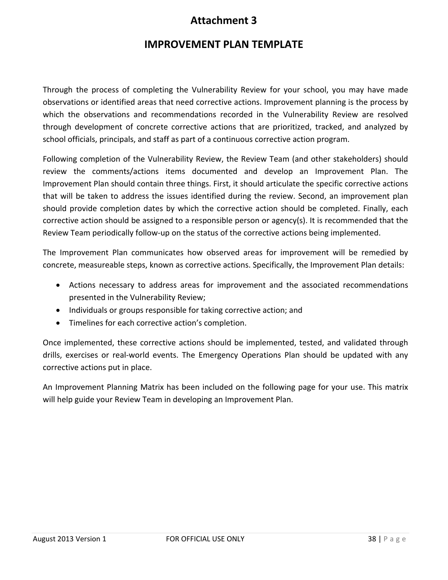#### **Attachment 3**

#### **IMPROVEMENT PLAN TEMPLATE**

Through the process of completing the Vulnerability Review for your school, you may have made observations or identified areas that need corrective actions. Improvement planning is the process by which the observations and recommendations recorded in the Vulnerability Review are resolved through development of concrete corrective actions that are prioritized, tracked, and analyzed by school officials, principals, and staff as part of a continuous corrective action program.

Following completion of the Vulnerability Review, the Review Team (and other stakeholders) should review the comments/actions items documented and develop an Improvement Plan. The Improvement Plan should contain three things. First, it should articulate the specific corrective actions that will be taken to address the issues identified during the review. Second, an improvement plan should provide completion dates by which the corrective action should be completed. Finally, each corrective action should be assigned to a responsible person or agency(s). It is recommended that the Review Team periodically follow‐up on the status of the corrective actions being implemented.

The Improvement Plan communicates how observed areas for improvement will be remedied by concrete, measureable steps, known as corrective actions. Specifically, the Improvement Plan details:

- Actions necessary to address areas for improvement and the associated recommendations presented in the Vulnerability Review;
- Individuals or groups responsible for taking corrective action; and
- Timelines for each corrective action's completion.

Once implemented, these corrective actions should be implemented, tested, and validated through drills, exercises or real‐world events. The Emergency Operations Plan should be updated with any corrective actions put in place.

An Improvement Planning Matrix has been included on the following page for your use. This matrix will help guide your Review Team in developing an Improvement Plan.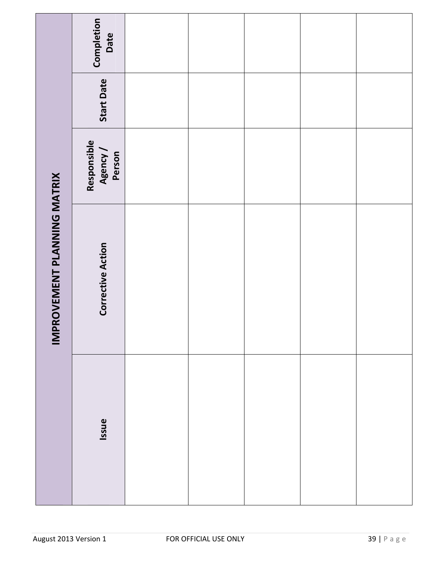|                             | Completion<br>Date                |  |  |  |
|-----------------------------|-----------------------------------|--|--|--|
|                             | <b>Start Date</b>                 |  |  |  |
|                             | Responsible<br>Agency /<br>Person |  |  |  |
| IMPROVEMENT PLANNING MATRIX | <b>Corrective Action</b>          |  |  |  |
|                             | Issue                             |  |  |  |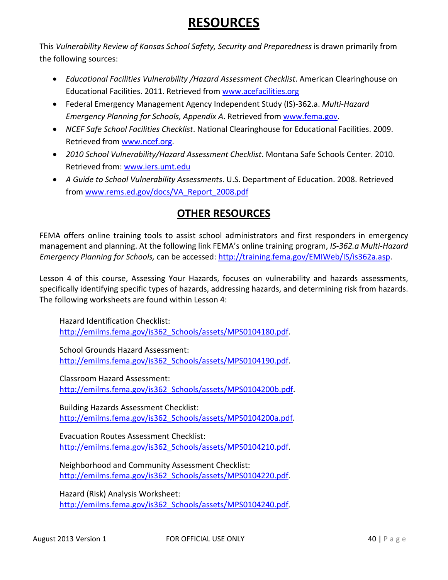# **RESOURCES**

This *Vulnerability Review of Kansas School Safety, Security and Preparedness* is drawn primarily from the following sources:

- *Educational Facilities Vulnerability /Hazard Assessment Checklist*. American Clearinghouse on Educational Facilities. 2011. Retrieved from www.acefacilities.org
- Federal Emergency Management Agency Independent Study (IS)‐362.a. *Multi‐Hazard Emergency Planning for Schools, Appendix A*. Retrieved from www.fema.gov.
- *NCEF Safe School Facilities Checklist*. National Clearinghouse for Educational Facilities. 2009. Retrieved from www.ncef.org.
- *2010 School Vulnerability/Hazard Assessment Checklist*. Montana Safe Schools Center. 2010. Retrieved from: www.iers.umt.edu
- *A Guide to School Vulnerability Assessments*. U.S. Department of Education. 2008. Retrieved from www.rems.ed.gov/docs/VA\_Report\_2008.pdf

#### **OTHER RESOURCES**

FEMA offers online training tools to assist school administrators and first responders in emergency management and planning. At the following link FEMA's online training program, *IS‐362.a Multi‐Hazard Emergency Planning for Schools,* can be accessed: http://training.fema.gov/EMIWeb/IS/is362a.asp.

Lesson 4 of this course, Assessing Your Hazards, focuses on vulnerability and hazards assessments, specifically identifying specific types of hazards, addressing hazards, and determining risk from hazards. The following worksheets are found within Lesson 4:

Hazard Identification Checklist: http://emilms.fema.gov/is362\_Schools/assets/MPS0104180.pdf.

School Grounds Hazard Assessment: http://emilms.fema.gov/is362\_Schools/assets/MPS0104190.pdf.

Classroom Hazard Assessment: http://emilms.fema.gov/is362\_Schools/assets/MPS0104200b.pdf.

Building Hazards Assessment Checklist: http://emilms.fema.gov/is362\_Schools/assets/MPS0104200a.pdf.

Evacuation Routes Assessment Checklist: http://emilms.fema.gov/is362\_Schools/assets/MPS0104210.pdf.

Neighborhood and Community Assessment Checklist: http://emilms.fema.gov/is362\_Schools/assets/MPS0104220.pdf.

Hazard (Risk) Analysis Worksheet: http://emilms.fema.gov/is362\_Schools/assets/MPS0104240.pdf.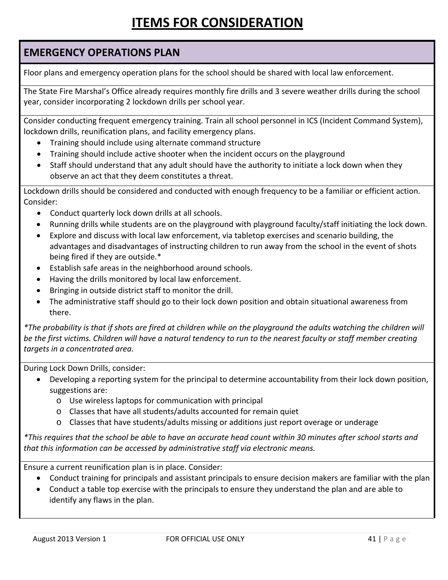# **ITEMS FOR CONSIDERATION**

#### **EMERGENCY OPERATIONS PLAN**

Floor plans and emergency operation plans for the school should be shared with local law enforcement.

The State Fire Marshal's Office already requires monthly fire drills and 3 severe weather drills during the school year, consider incorporating 2 lockdown drills per school year.

Consider conducting frequent emergency training. Train all school personnel in ICS (Incident Command System), lockdown drills, reunification plans, and facility emergency plans.

- Training should include using alternate command structure
- Training should include active shooter when the incident occurs on the playground
- Staff should understand that any adult should have the authority to initiate a lock down when they observe an act that they deem constitutes a threat.

Lockdown drills should be considered and conducted with enough frequency to be a familiar or efficient action. Consider:

- Conduct quarterly lock down drills at all schools.
- Running drills while students are on the playground with playground faculty/staff initiating the lock down.
- Explore and discuss with local law enforcement, via tabletop exercises and scenario building, the advantages and disadvantages of instructing children to run away from the school in the event of shots being fired if they are outside.\*
- Establish safe areas in the neighborhood around schools.
- Having the drills monitored by local law enforcement.
- Bringing in outside district staff to monitor the drill.
- The administrative staff should go to their lock down position and obtain situational awareness from there.

\*The probability is that if shots are fired at children while on the playground the adults watching the children will be the first victims. Children will have a natural tendency to run to the nearest faculty or staff member creating *targets in a concentrated area.*

During Lock Down Drills, consider:

- Developing a reporting system for the principal to determine accountability from their lock down position, suggestions are:
	- o Use wireless laptops for communication with principal
	- o Classes that have all students/adults accounted for remain quiet
	- o Classes that have students/adults missing or additions just report overage or underage

\*This requires that the school be able to have an accurate head count within 30 minutes after school starts and *that this information can be accessed by administrative staff via electronic means.* 

Ensure a current reunification plan is in place. Consider:

- Conduct training for principals and assistant principals to ensure decision makers are familiar with the plan
- Conduct a table top exercise with the principals to ensure they understand the plan and are able to identify any flaws in the plan.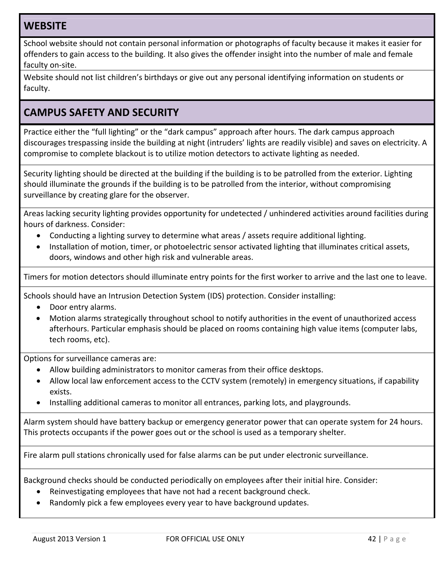#### **WEBSITE**

School website should not contain personal information or photographs of faculty because it makes it easier for offenders to gain access to the building. It also gives the offender insight into the number of male and female faculty on‐site.

Website should not list children's birthdays or give out any personal identifying information on students or faculty.

#### **CAMPUS SAFETY AND SECURITY**

Practice either the "full lighting" or the "dark campus" approach after hours. The dark campus approach discourages trespassing inside the building at night (intruders' lights are readily visible) and saves on electricity. A compromise to complete blackout is to utilize motion detectors to activate lighting as needed.

Security lighting should be directed at the building if the building is to be patrolled from the exterior. Lighting should illuminate the grounds if the building is to be patrolled from the interior, without compromising surveillance by creating glare for the observer.

Areas lacking security lighting provides opportunity for undetected / unhindered activities around facilities during hours of darkness. Consider:

- Conducting a lighting survey to determine what areas / assets require additional lighting.
- Installation of motion, timer, or photoelectric sensor activated lighting that illuminates critical assets, doors, windows and other high risk and vulnerable areas.

Timers for motion detectors should illuminate entry points for the first worker to arrive and the last one to leave.

Schools should have an Intrusion Detection System (IDS) protection. Consider installing:

- Door entry alarms.
- Motion alarms strategically throughout school to notify authorities in the event of unauthorized access afterhours. Particular emphasis should be placed on rooms containing high value items (computer labs, tech rooms, etc).

Options for surveillance cameras are:

- Allow building administrators to monitor cameras from their office desktops.
- Allow local law enforcement access to the CCTV system (remotely) in emergency situations, if capability exists.
- Installing additional cameras to monitor all entrances, parking lots, and playgrounds.

Alarm system should have battery backup or emergency generator power that can operate system for 24 hours. This protects occupants if the power goes out or the school is used as a temporary shelter.

Fire alarm pull stations chronically used for false alarms can be put under electronic surveillance.

Background checks should be conducted periodically on employees after their initial hire. Consider:

- Reinvestigating employees that have not had a recent background check.
- Randomly pick a few employees every year to have background updates.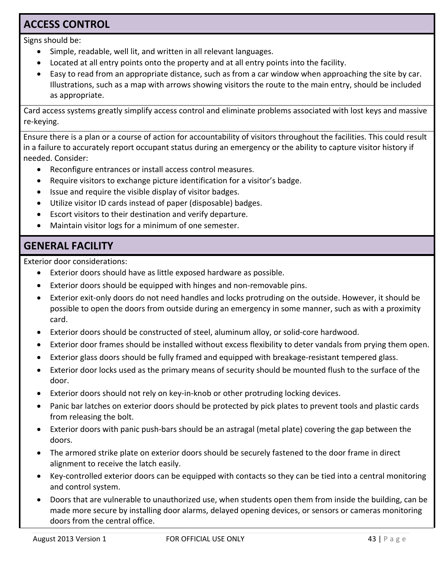#### **ACCESS CONTROL**

Signs should be:

- Simple, readable, well lit, and written in all relevant languages.
- Located at all entry points onto the property and at all entry points into the facility.
- Easy to read from an appropriate distance, such as from a car window when approaching the site by car. Illustrations, such as a map with arrows showing visitors the route to the main entry, should be included as appropriate.

Card access systems greatly simplify access control and eliminate problems associated with lost keys and massive re‐keying.

Ensure there is a plan or a course of action for accountability of visitors throughout the facilities. This could result in a failure to accurately report occupant status during an emergency or the ability to capture visitor history if needed. Consider:

- Reconfigure entrances or install access control measures.
- Require visitors to exchange picture identification for a visitor's badge.
- Issue and require the visible display of visitor badges.
- Utilize visitor ID cards instead of paper (disposable) badges.
- Escort visitors to their destination and verify departure.
- Maintain visitor logs for a minimum of one semester.

#### **GENERAL FACILITY**

Exterior door considerations:

- Exterior doors should have as little exposed hardware as possible.
- Exterior doors should be equipped with hinges and non-removable pins.
- Exterior exit-only doors do not need handles and locks protruding on the outside. However, it should be possible to open the doors from outside during an emergency in some manner, such as with a proximity card.
- Exterior doors should be constructed of steel, aluminum alloy, or solid‐core hardwood.
- Exterior door frames should be installed without excess flexibility to deter vandals from prying them open.
- Exterior glass doors should be fully framed and equipped with breakage-resistant tempered glass.
- Exterior door locks used as the primary means of security should be mounted flush to the surface of the door.
- Exterior doors should not rely on key-in-knob or other protruding locking devices.
- Panic bar latches on exterior doors should be protected by pick plates to prevent tools and plastic cards from releasing the bolt.
- Exterior doors with panic push‐bars should be an astragal (metal plate) covering the gap between the doors.
- The armored strike plate on exterior doors should be securely fastened to the door frame in direct alignment to receive the latch easily.
- Key-controlled exterior doors can be equipped with contacts so they can be tied into a central monitoring and control system.
- Doors that are vulnerable to unauthorized use, when students open them from inside the building, can be made more secure by installing door alarms, delayed opening devices, or sensors or cameras monitoring doors from the central office.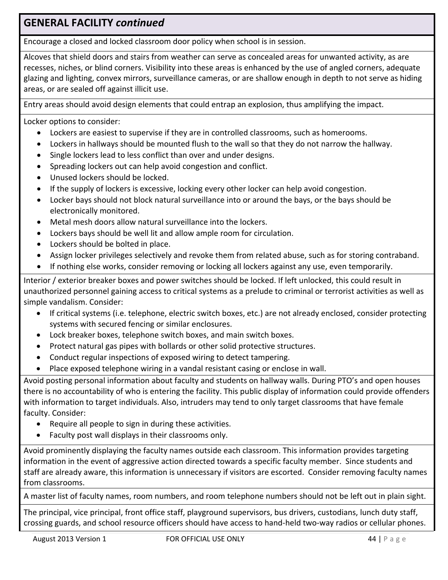#### **GENERAL FACILITY** *continued*

Encourage a closed and locked classroom door policy when school is in session.

Alcoves that shield doors and stairs from weather can serve as concealed areas for unwanted activity, as are recesses, niches, or blind corners. Visibility into these areas is enhanced by the use of angled corners, adequate glazing and lighting, convex mirrors, surveillance cameras, or are shallow enough in depth to not serve as hiding areas, or are sealed off against illicit use.

Entry areas should avoid design elements that could entrap an explosion, thus amplifying the impact.

Locker options to consider:

- Lockers are easiest to supervise if they are in controlled classrooms, such as homerooms.
- Lockers in hallways should be mounted flush to the wall so that they do not narrow the hallway.
- Single lockers lead to less conflict than over and under designs.
- Spreading lockers out can help avoid congestion and conflict.
- Unused lockers should be locked.
- If the supply of lockers is excessive, locking every other locker can help avoid congestion.
- Locker bays should not block natural surveillance into or around the bays, or the bays should be electronically monitored.
- Metal mesh doors allow natural surveillance into the lockers.
- Lockers bays should be well lit and allow ample room for circulation.
- Lockers should be bolted in place.
- Assign locker privileges selectively and revoke them from related abuse, such as for storing contraband.
- If nothing else works, consider removing or locking all lockers against any use, even temporarily.

Interior / exterior breaker boxes and power switches should be locked. If left unlocked, this could result in unauthorized personnel gaining access to critical systems as a prelude to criminal or terrorist activities as well as simple vandalism. Consider:

- If critical systems (i.e. telephone, electric switch boxes, etc.) are not already enclosed, consider protecting systems with secured fencing or similar enclosures.
- Lock breaker boxes, telephone switch boxes, and main switch boxes.
- Protect natural gas pipes with bollards or other solid protective structures.
- Conduct regular inspections of exposed wiring to detect tampering.
- Place exposed telephone wiring in a vandal resistant casing or enclose in wall.

Avoid posting personal information about faculty and students on hallway walls. During PTO's and open houses there is no accountability of who is entering the facility. This public display of information could provide offenders with information to target individuals. Also, intruders may tend to only target classrooms that have female faculty. Consider:

- Require all people to sign in during these activities.
- Faculty post wall displays in their classrooms only.

Avoid prominently displaying the faculty names outside each classroom. This information provides targeting information in the event of aggressive action directed towards a specific faculty member. Since students and staff are already aware, this information is unnecessary if visitors are escorted. Consider removing faculty names from classrooms.

A master list of faculty names, room numbers, and room telephone numbers should not be left out in plain sight.

The principal, vice principal, front office staff, playground supervisors, bus drivers, custodians, lunch duty staff, crossing guards, and school resource officers should have access to hand‐held two‐way radios or cellular phones.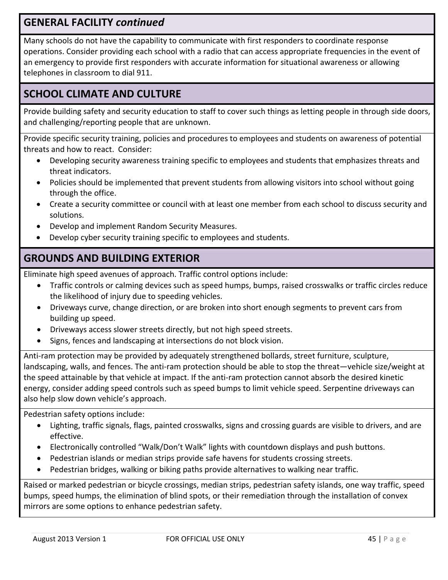#### **GENERAL FACILITY** *continued*

Many schools do not have the capability to communicate with first responders to coordinate response operations. Consider providing each school with a radio that can access appropriate frequencies in the event of an emergency to provide first responders with accurate information for situational awareness or allowing telephones in classroom to dial 911.

#### **SCHOOL CLIMATE AND CULTURE**

Provide building safety and security education to staff to cover such things as letting people in through side doors, and challenging/reporting people that are unknown.

Provide specific security training, policies and procedures to employees and students on awareness of potential threats and how to react. Consider:

- Developing security awareness training specific to employees and students that emphasizes threats and threat indicators.
- Policies should be implemented that prevent students from allowing visitors into school without going through the office.
- Create a security committee or council with at least one member from each school to discuss security and solutions.
- Develop and implement Random Security Measures.
- Develop cyber security training specific to employees and students.

### **GROUNDS AND BUILDING EXTERIOR**

Eliminate high speed avenues of approach. Traffic control options include:

- Traffic controls or calming devices such as speed humps, bumps, raised crosswalks or traffic circles reduce the likelihood of injury due to speeding vehicles.
- Driveways curve, change direction, or are broken into short enough segments to prevent cars from building up speed.
- Driveways access slower streets directly, but not high speed streets.
- Signs, fences and landscaping at intersections do not block vision.

Anti-ram protection may be provided by adequately strengthened bollards, street furniture, sculpture, landscaping, walls, and fences. The anti-ram protection should be able to stop the threat—vehicle size/weight at the speed attainable by that vehicle at impact. If the anti‐ram protection cannot absorb the desired kinetic energy, consider adding speed controls such as speed bumps to limit vehicle speed. Serpentine driveways can also help slow down vehicle's approach.

Pedestrian safety options include:

- Lighting, traffic signals, flags, painted crosswalks, signs and crossing guards are visible to drivers, and are effective.
- Electronically controlled "Walk/Don't Walk" lights with countdown displays and push buttons.
- Pedestrian islands or median strips provide safe havens for students crossing streets.
- Pedestrian bridges, walking or biking paths provide alternatives to walking near traffic.

Raised or marked pedestrian or bicycle crossings, median strips, pedestrian safety islands, one way traffic, speed bumps, speed humps, the elimination of blind spots, or their remediation through the installation of convex mirrors are some options to enhance pedestrian safety.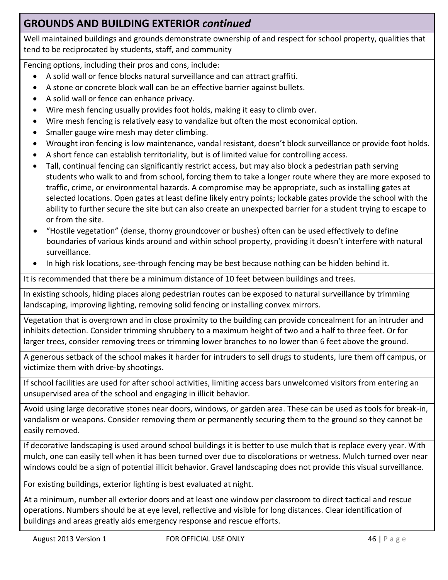#### **GROUNDS AND BUILDING EXTERIOR** *continued*

Well maintained buildings and grounds demonstrate ownership of and respect for school property, qualities that tend to be reciprocated by students, staff, and community

Fencing options, including their pros and cons, include:

- A solid wall or fence blocks natural surveillance and can attract graffiti.
- A stone or concrete block wall can be an effective barrier against bullets.
- A solid wall or fence can enhance privacy.
- Wire mesh fencing usually provides foot holds, making it easy to climb over.
- Wire mesh fencing is relatively easy to vandalize but often the most economical option.
- Smaller gauge wire mesh may deter climbing.
- Wrought iron fencing is low maintenance, vandal resistant, doesn't block surveillance or provide foot holds.
- A short fence can establish territoriality, but is of limited value for controlling access.
- Tall, continual fencing can significantly restrict access, but may also block a pedestrian path serving students who walk to and from school, forcing them to take a longer route where they are more exposed to traffic, crime, or environmental hazards. A compromise may be appropriate, such as installing gates at selected locations. Open gates at least define likely entry points; lockable gates provide the school with the ability to further secure the site but can also create an unexpected barrier for a student trying to escape to or from the site.
- "Hostile vegetation" (dense, thorny groundcover or bushes) often can be used effectively to define boundaries of various kinds around and within school property, providing it doesn't interfere with natural surveillance.
- In high risk locations, see‐through fencing may be best because nothing can be hidden behind it.

It is recommended that there be a minimum distance of 10 feet between buildings and trees.

In existing schools, hiding places along pedestrian routes can be exposed to natural surveillance by trimming landscaping, improving lighting, removing solid fencing or installing convex mirrors.

Vegetation that is overgrown and in close proximity to the building can provide concealment for an intruder and inhibits detection. Consider trimming shrubbery to a maximum height of two and a half to three feet. Or for larger trees, consider removing trees or trimming lower branches to no lower than 6 feet above the ground.

A generous setback of the school makes it harder for intruders to sell drugs to students, lure them off campus, or victimize them with drive‐by shootings.

If school facilities are used for after school activities, limiting access bars unwelcomed visitors from entering an unsupervised area of the school and engaging in illicit behavior.

Avoid using large decorative stones near doors, windows, or garden area. These can be used as tools for break‐in, vandalism or weapons. Consider removing them or permanently securing them to the ground so they cannot be easily removed.

If decorative landscaping is used around school buildings it is better to use mulch that is replace every year. With mulch, one can easily tell when it has been turned over due to discolorations or wetness. Mulch turned over near windows could be a sign of potential illicit behavior. Gravel landscaping does not provide this visual surveillance.

For existing buildings, exterior lighting is best evaluated at night.

At a minimum, number all exterior doors and at least one window per classroom to direct tactical and rescue operations. Numbers should be at eye level, reflective and visible for long distances. Clear identification of buildings and areas greatly aids emergency response and rescue efforts.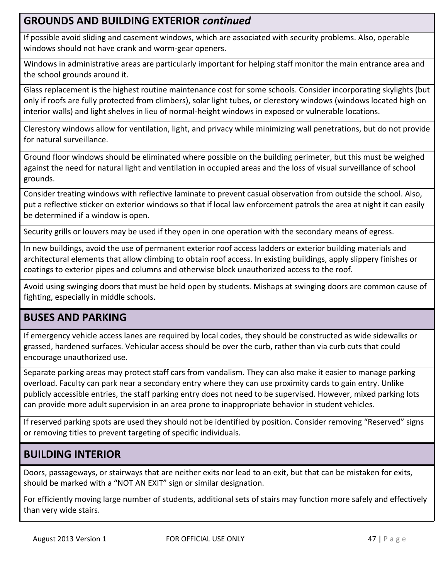#### **GROUNDS AND BUILDING EXTERIOR** *continued*

If possible avoid sliding and casement windows, which are associated with security problems. Also, operable windows should not have crank and worm‐gear openers.

Windows in administrative areas are particularly important for helping staff monitor the main entrance area and the school grounds around it.

Glass replacement is the highest routine maintenance cost for some schools. Consider incorporating skylights (but only if roofs are fully protected from climbers), solar light tubes, or clerestory windows (windows located high on interior walls) and light shelves in lieu of normal‐height windows in exposed or vulnerable locations.

Clerestory windows allow for ventilation, light, and privacy while minimizing wall penetrations, but do not provide for natural surveillance.

Ground floor windows should be eliminated where possible on the building perimeter, but this must be weighed against the need for natural light and ventilation in occupied areas and the loss of visual surveillance of school grounds.

Consider treating windows with reflective laminate to prevent casual observation from outside the school. Also, put a reflective sticker on exterior windows so that if local law enforcement patrols the area at night it can easily be determined if a window is open.

Security grills or louvers may be used if they open in one operation with the secondary means of egress.

In new buildings, avoid the use of permanent exterior roof access ladders or exterior building materials and architectural elements that allow climbing to obtain roof access. In existing buildings, apply slippery finishes or coatings to exterior pipes and columns and otherwise block unauthorized access to the roof.

Avoid using swinging doors that must be held open by students. Mishaps at swinging doors are common cause of fighting, especially in middle schools.

#### **BUSES AND PARKING**

If emergency vehicle access lanes are required by local codes, they should be constructed as wide sidewalks or grassed, hardened surfaces. Vehicular access should be over the curb, rather than via curb cuts that could encourage unauthorized use.

Separate parking areas may protect staff cars from vandalism. They can also make it easier to manage parking overload. Faculty can park near a secondary entry where they can use proximity cards to gain entry. Unlike publicly accessible entries, the staff parking entry does not need to be supervised. However, mixed parking lots can provide more adult supervision in an area prone to inappropriate behavior in student vehicles.

If reserved parking spots are used they should not be identified by position. Consider removing "Reserved" signs or removing titles to prevent targeting of specific individuals.

#### **BUILDING INTERIOR**

Doors, passageways, or stairways that are neither exits nor lead to an exit, but that can be mistaken for exits, should be marked with a "NOT AN EXIT" sign or similar designation.

For efficiently moving large number of students, additional sets of stairs may function more safely and effectively than very wide stairs.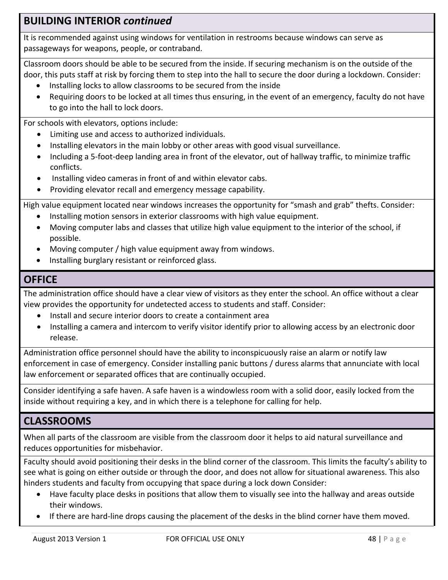#### **BUILDING INTERIOR** *continued*

It is recommended against using windows for ventilation in restrooms because windows can serve as passageways for weapons, people, or contraband.

Classroom doors should be able to be secured from the inside. If securing mechanism is on the outside of the door, this puts staff at risk by forcing them to step into the hall to secure the door during a lockdown. Consider:

- Installing locks to allow classrooms to be secured from the inside
- Requiring doors to be locked at all times thus ensuring, in the event of an emergency, faculty do not have to go into the hall to lock doors.

For schools with elevators, options include:

- Limiting use and access to authorized individuals.
- Installing elevators in the main lobby or other areas with good visual surveillance.
- Including a 5-foot-deep landing area in front of the elevator, out of hallway traffic, to minimize traffic conflicts.
- Installing video cameras in front of and within elevator cabs.
- Providing elevator recall and emergency message capability.

High value equipment located near windows increases the opportunity for "smash and grab" thefts. Consider:

- Installing motion sensors in exterior classrooms with high value equipment.
- Moving computer labs and classes that utilize high value equipment to the interior of the school, if possible.
- Moving computer / high value equipment away from windows.
- Installing burglary resistant or reinforced glass.

#### **OFFICE**

The administration office should have a clear view of visitors as they enter the school. An office without a clear view provides the opportunity for undetected access to students and staff. Consider:

- Install and secure interior doors to create a containment area
- Installing a camera and intercom to verify visitor identify prior to allowing access by an electronic door release.

Administration office personnel should have the ability to inconspicuously raise an alarm or notify law enforcement in case of emergency. Consider installing panic buttons / duress alarms that annunciate with local law enforcement or separated offices that are continually occupied.

Consider identifying a safe haven. A safe haven is a windowless room with a solid door, easily locked from the inside without requiring a key, and in which there is a telephone for calling for help.

#### **CLASSROOMS**

When all parts of the classroom are visible from the classroom door it helps to aid natural surveillance and reduces opportunities for misbehavior.

Faculty should avoid positioning their desks in the blind corner of the classroom. This limits the faculty's ability to see what is going on either outside or through the door, and does not allow for situational awareness. This also hinders students and faculty from occupying that space during a lock down Consider:

- Have faculty place desks in positions that allow them to visually see into the hallway and areas outside their windows.
- If there are hard‐line drops causing the placement of the desks in the blind corner have them moved.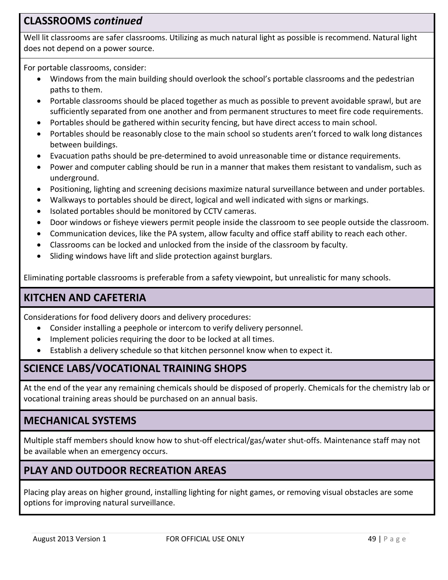#### **CLASSROOMS** *continued*

Well lit classrooms are safer classrooms. Utilizing as much natural light as possible is recommend. Natural light does not depend on a power source.

For portable classrooms, consider:

- Windows from the main building should overlook the school's portable classrooms and the pedestrian paths to them.
- Portable classrooms should be placed together as much as possible to prevent avoidable sprawl, but are sufficiently separated from one another and from permanent structures to meet fire code requirements.
- Portables should be gathered within security fencing, but have direct access to main school.
- Portables should be reasonably close to the main school so students aren't forced to walk long distances between buildings.
- Evacuation paths should be pre-determined to avoid unreasonable time or distance requirements.
- Power and computer cabling should be run in a manner that makes them resistant to vandalism, such as underground.
- Positioning, lighting and screening decisions maximize natural surveillance between and under portables.
- Walkways to portables should be direct, logical and well indicated with signs or markings.
- Isolated portables should be monitored by CCTV cameras.
- Door windows or fisheye viewers permit people inside the classroom to see people outside the classroom.
- Communication devices, like the PA system, allow faculty and office staff ability to reach each other.
- Classrooms can be locked and unlocked from the inside of the classroom by faculty.
- Sliding windows have lift and slide protection against burglars.

Eliminating portable classrooms is preferable from a safety viewpoint, but unrealistic for many schools.

#### **KITCHEN AND CAFETERIA**

Considerations for food delivery doors and delivery procedures:

- Consider installing a peephole or intercom to verify delivery personnel.
- Implement policies requiring the door to be locked at all times.
- Establish a delivery schedule so that kitchen personnel know when to expect it.

#### **SCIENCE LABS/VOCATIONAL TRAINING SHOPS**

At the end of the year any remaining chemicals should be disposed of properly. Chemicals for the chemistry lab or vocational training areas should be purchased on an annual basis.

#### **MECHANICAL SYSTEMS**

Multiple staff members should know how to shut‐off electrical/gas/water shut‐offs. Maintenance staff may not be available when an emergency occurs.

### **PLAY AND OUTDOOR RECREATION AREAS**

Placing play areas on higher ground, installing lighting for night games, or removing visual obstacles are some options for improving natural surveillance.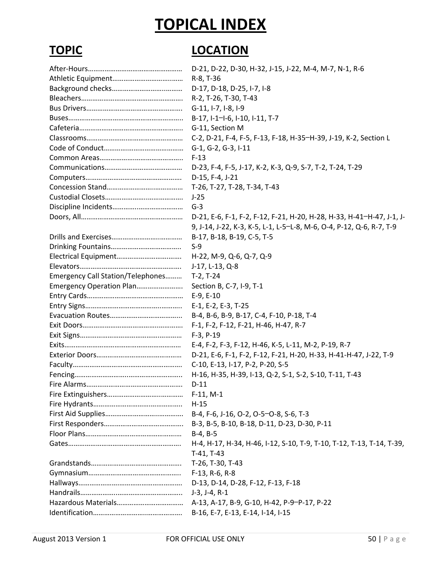# **TOPICAL INDEX**

# **TOPIC LOCATION**

|                                   | D-21, D-22, D-30, H-32, J-15, J-22, M-4, M-7, N-1, R-6                |
|-----------------------------------|-----------------------------------------------------------------------|
|                                   | R-8, T-36                                                             |
|                                   | D-17, D-18, D-25, I-7, I-8                                            |
|                                   | R-2, T-26, T-30, T-43                                                 |
|                                   | G-11, I-7, I-8, I-9                                                   |
|                                   | B-17, I-1-I-6, I-10, I-11, T-7                                        |
|                                   | G-11, Section M                                                       |
|                                   | C-2, D-21, F-4, F-5, F-13, F-18, H-35-H-39, J-19, K-2, Section L      |
|                                   | G-1, G-2, G-3, I-11                                                   |
|                                   | $F-13$                                                                |
|                                   | D-23, F-4, F-5, J-17, K-2, K-3, Q-9, S-7, T-2, T-24, T-29             |
|                                   | D-15, F-4, J-21                                                       |
|                                   | T-26, T-27, T-28, T-34, T-43                                          |
|                                   | $J-25$                                                                |
|                                   | $G-3$                                                                 |
|                                   | D-21, E-6, F-1, F-2, F-12, F-21, H-20, H-28, H-33, H-41-H-47, J-1, J- |
|                                   | 9, J-14, J-22, K-3, K-5, L-1, L-5-L-8, M-6, O-4, P-12, Q-6, R-7, T-9  |
|                                   | B-17, B-18, B-19, C-5, T-5                                            |
|                                   | $S-9$                                                                 |
|                                   | H-22, M-9, Q-6, Q-7, Q-9                                              |
|                                   | J-17, L-13, Q-8                                                       |
| Emergency Call Station/Telephones | $T-2, T-24$                                                           |
| Emergency Operation Plan          | Section B, C-7, I-9, T-1                                              |
|                                   | $E-9, E-10$                                                           |
|                                   | E-1, E-2, E-3, T-25                                                   |
|                                   | B-4, B-6, B-9, B-17, C-4, F-10, P-18, T-4                             |
|                                   | F-1, F-2, F-12, F-21, H-46, H-47, R-7                                 |
|                                   | $F-3, P-19$                                                           |
|                                   | E-4, F-2, F-3, F-12, H-46, K-5, L-11, M-2, P-19, R-7                  |
|                                   | D-21, E-6, F-1, F-2, F-12, F-21, H-20, H-33, H-41-H-47, J-22, T-9     |
|                                   | C-10, E-13, I-17, P-2, P-20, S-5                                      |
|                                   | H-16, H-35, H-39, I-13, Q-2, S-1, S-2, S-10, T-11, T-43               |
|                                   | $D-11$                                                                |
|                                   | $F-11, M-1$                                                           |
|                                   | $H-15$                                                                |
|                                   | B-4, F-6, J-16, O-2, O-5-O-8, S-6, T-3                                |
|                                   | B-3, B-5, B-10, B-18, D-11, D-23, D-30, P-11                          |
|                                   | $B-4, B-5$                                                            |
|                                   | H-4, H-17, H-34, H-46, I-12, S-10, T-9, T-10, T-12, T-13, T-14, T-39, |
|                                   | $T-41, T-43$                                                          |
|                                   | T-26, T-30, T-43                                                      |
|                                   | F-13, R-6, R-8                                                        |
|                                   | D-13, D-14, D-28, F-12, F-13, F-18                                    |
|                                   | $J-3, J-4, R-1$                                                       |
|                                   | A-13, A-17, B-9, G-10, H-42, P-9-P-17, P-22                           |
|                                   | B-16, E-7, E-13, E-14, I-14, I-15                                     |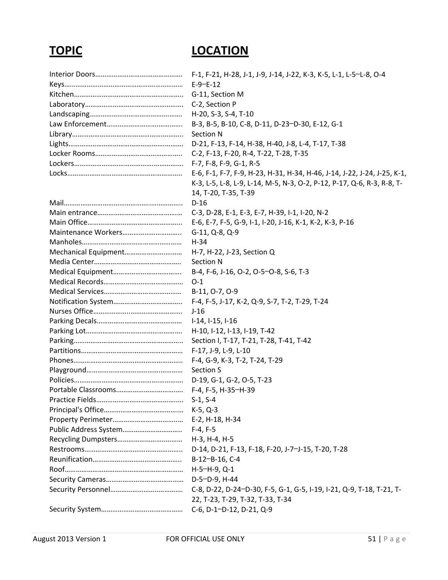#### **TOPIC LOCATION**

|                       | $E-9-E-12$                                                               |
|-----------------------|--------------------------------------------------------------------------|
|                       | G-11, Section M                                                          |
|                       | C-2, Section P                                                           |
|                       | H-20, S-3, S-4, T-10                                                     |
|                       | B-3, B-5, B-10, C-8, D-11, D-23-D-30, E-12, G-1                          |
|                       | Section N                                                                |
|                       | D-21, F-13, F-14, H-38, H-40, J-8, L-4, T-17, T-38                       |
|                       | C-2, F-13, F-20, R-4, T-22, T-28, T-35                                   |
|                       |                                                                          |
|                       | E-6, F-1, F-7, F-9, H-23, H-31, H-34, H-46, J-14, J-22, J-24, J-25, K-1, |
|                       | K-3, L-5, L-8, L-9, L-14, M-5, N-3, O-2, P-12, P-17, Q-6, R-3, R-8, T-   |
|                       | 14, T-20, T-35, T-39                                                     |
|                       | $D-16$                                                                   |
|                       | C-3, D-28, E-1, E-3, E-7, H-39, I-1, I-20, N-2                           |
|                       | E-6, E-7, F-5, G-9, I-1, I-20, J-16, K-1, K-2, K-3, P-16                 |
|                       | G-11, Q-8, Q-9                                                           |
|                       | $H-34$                                                                   |
| Mechanical Equipment  | H-7, H-22, J-23, Section Q                                               |
|                       | Section N                                                                |
|                       | B-4, F-6, J-16, O-2, O-5-O-8, S-6, T-3                                   |
|                       | $O-1$                                                                    |
|                       | B-11, O-7, O-9                                                           |
|                       | F-4, F-5, J-17, K-2, Q-9, S-7, T-2, T-29, T-24                           |
|                       | $J-16$                                                                   |
|                       | I-14, I-15, I-16                                                         |
|                       | H-10, I-12, I-13, I-19, T-42                                             |
|                       | Section I, T-17, T-21, T-28, T-41, T-42                                  |
|                       | F-17, J-9, L-9, L-10                                                     |
|                       | F-4, G-9, K-3, T-2, T-24, T-29                                           |
|                       | Section S                                                                |
|                       | D-19, G-1, G-2, O-5, T-23                                                |
|                       | F-4, F-5, H-35-H-39                                                      |
|                       |                                                                          |
|                       |                                                                          |
|                       | E-2, H-18, H-34                                                          |
| Public Address System | $F-4, F-5$                                                               |
|                       | H-3, H-4, H-5                                                            |
|                       | D-14, D-21, F-13, F-18, F-20, J-7-J-15, T-20, T-28                       |
|                       | B-12-B-16, C-4                                                           |
|                       | $H-5-H-9, Q-1$                                                           |
|                       | D-5-D-9, H-44                                                            |
|                       | C-8, D-22, D-24-D-30, F-5, G-1, G-5, I-19, I-21, Q-9, T-18, T-21, T-     |
|                       | 22, T-23, T-29, T-32, T-33, T-34                                         |
|                       | C-6, D-1-D-12, D-21, Q-9                                                 |
|                       |                                                                          |